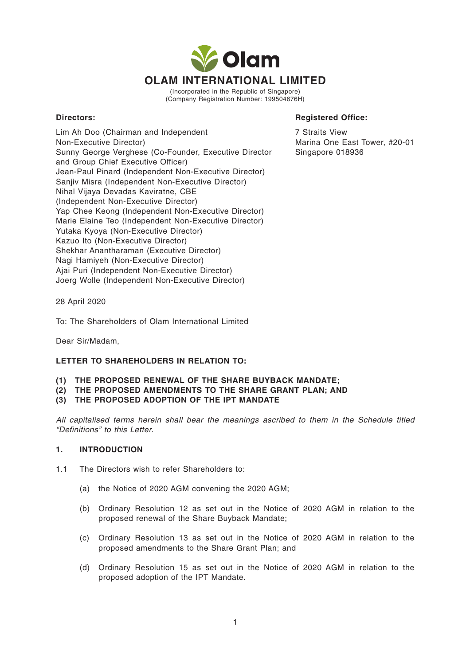

(Incorporated in the Republic of Singapore) (Company Registration Number: 199504676H)

#### **Directors: Registered Office:**

Lim Ah Doo (Chairman and Independent Non-Executive Director) Sunny George Verghese (Co-Founder, Executive Director and Group Chief Executive Officer) Jean-Paul Pinard (Independent Non-Executive Director) Sanjiv Misra (Independent Non-Executive Director) Nihal Vijaya Devadas Kaviratne, CBE (Independent Non-Executive Director) Yap Chee Keong (Independent Non-Executive Director) Marie Elaine Teo (Independent Non-Executive Director) Yutaka Kyoya (Non-Executive Director) Kazuo Ito (Non-Executive Director) Shekhar Anantharaman (Executive Director) Nagi Hamiyeh (Non-Executive Director) Ajai Puri (Independent Non-Executive Director) Joerg Wolle (Independent Non-Executive Director)

7 Straits View Marina One East Tower, #20-01 Singapore 018936

28 April 2020

To: The Shareholders of Olam International Limited

Dear Sir/Madam,

#### **LETTER TO SHAREHOLDERS IN RELATION TO:**

- **(1) THE PROPOSED RENEWAL OF THE SHARE BUYBACK MANDATE;**
- **(2) THE PROPOSED AMENDMENTS TO THE SHARE GRANT PLAN; AND**
- **(3) THE PROPOSED ADOPTION OF THE IPT MANDATE**

All capitalised terms herein shall bear the meanings ascribed to them in the Schedule titled "Definitions" to this Letter.

#### **1. INTRODUCTION**

- 1.1 The Directors wish to refer Shareholders to:
	- (a) the Notice of 2020 AGM convening the 2020 AGM;
	- (b) Ordinary Resolution 12 as set out in the Notice of 2020 AGM in relation to the proposed renewal of the Share Buyback Mandate;
	- (c) Ordinary Resolution 13 as set out in the Notice of 2020 AGM in relation to the proposed amendments to the Share Grant Plan; and
	- (d) Ordinary Resolution 15 as set out in the Notice of 2020 AGM in relation to the proposed adoption of the IPT Mandate.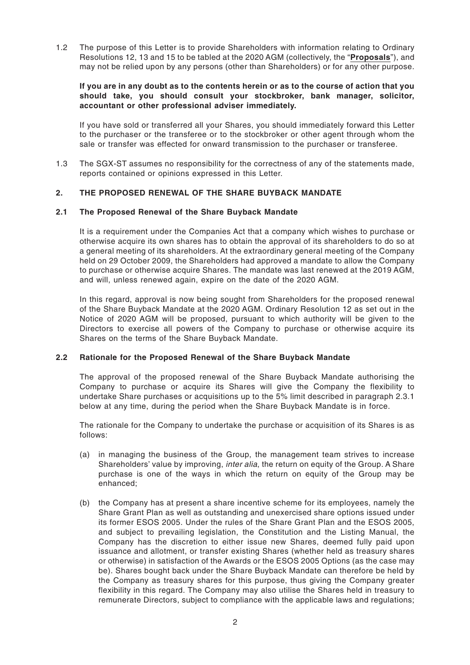1.2 The purpose of this Letter is to provide Shareholders with information relating to Ordinary Resolutions 12, 13 and 15 to be tabled at the 2020 AGM (collectively, the "**Proposals**"), and may not be relied upon by any persons (other than Shareholders) or for any other purpose.

#### **If you are in any doubt as to the contents herein or as to the course of action that you should take, you should consult your stockbroker, bank manager, solicitor, accountant or other professional adviser immediately.**

If you have sold or transferred all your Shares, you should immediately forward this Letter to the purchaser or the transferee or to the stockbroker or other agent through whom the sale or transfer was effected for onward transmission to the purchaser or transferee.

1.3 The SGX-ST assumes no responsibility for the correctness of any of the statements made, reports contained or opinions expressed in this Letter.

# **2. THE PROPOSED RENEWAL OF THE SHARE BUYBACK MANDATE**

#### **2.1 The Proposed Renewal of the Share Buyback Mandate**

It is a requirement under the Companies Act that a company which wishes to purchase or otherwise acquire its own shares has to obtain the approval of its shareholders to do so at a general meeting of its shareholders. At the extraordinary general meeting of the Company held on 29 October 2009, the Shareholders had approved a mandate to allow the Company to purchase or otherwise acquire Shares. The mandate was last renewed at the 2019 AGM, and will, unless renewed again, expire on the date of the 2020 AGM.

In this regard, approval is now being sought from Shareholders for the proposed renewal of the Share Buyback Mandate at the 2020 AGM. Ordinary Resolution 12 as set out in the Notice of 2020 AGM will be proposed, pursuant to which authority will be given to the Directors to exercise all powers of the Company to purchase or otherwise acquire its Shares on the terms of the Share Buyback Mandate.

#### **2.2 Rationale for the Proposed Renewal of the Share Buyback Mandate**

The approval of the proposed renewal of the Share Buyback Mandate authorising the Company to purchase or acquire its Shares will give the Company the flexibility to undertake Share purchases or acquisitions up to the 5% limit described in paragraph 2.3.1 below at any time, during the period when the Share Buyback Mandate is in force.

The rationale for the Company to undertake the purchase or acquisition of its Shares is as follows:

- (a) in managing the business of the Group, the management team strives to increase Shareholders' value by improving, *inter alia*, the return on equity of the Group. A Share purchase is one of the ways in which the return on equity of the Group may be enhanced;
- (b) the Company has at present a share incentive scheme for its employees, namely the Share Grant Plan as well as outstanding and unexercised share options issued under its former ESOS 2005. Under the rules of the Share Grant Plan and the ESOS 2005, and subject to prevailing legislation, the Constitution and the Listing Manual, the Company has the discretion to either issue new Shares, deemed fully paid upon issuance and allotment, or transfer existing Shares (whether held as treasury shares or otherwise) in satisfaction of the Awards or the ESOS 2005 Options (as the case may be). Shares bought back under the Share Buyback Mandate can therefore be held by the Company as treasury shares for this purpose, thus giving the Company greater flexibility in this regard. The Company may also utilise the Shares held in treasury to remunerate Directors, subject to compliance with the applicable laws and regulations;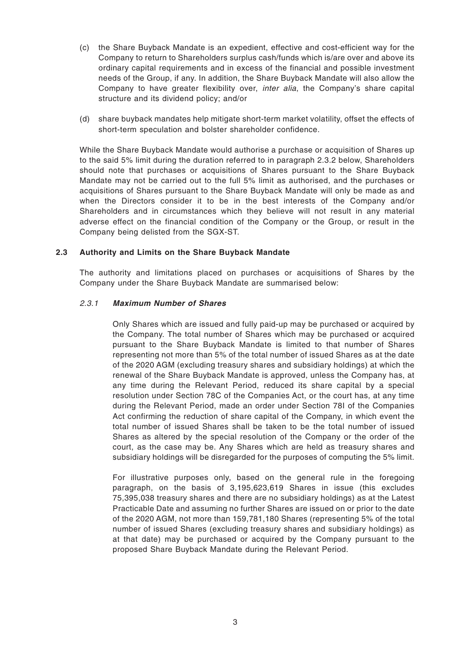- (c) the Share Buyback Mandate is an expedient, effective and cost-efficient way for the Company to return to Shareholders surplus cash/funds which is/are over and above its ordinary capital requirements and in excess of the financial and possible investment needs of the Group, if any. In addition, the Share Buyback Mandate will also allow the Company to have greater flexibility over, *inter alia*, the Company's share capital structure and its dividend policy; and/or
- (d) share buyback mandates help mitigate short-term market volatility, offset the effects of short-term speculation and bolster shareholder confidence.

While the Share Buyback Mandate would authorise a purchase or acquisition of Shares up to the said 5% limit during the duration referred to in paragraph 2.3.2 below, Shareholders should note that purchases or acquisitions of Shares pursuant to the Share Buyback Mandate may not be carried out to the full 5% limit as authorised, and the purchases or acquisitions of Shares pursuant to the Share Buyback Mandate will only be made as and when the Directors consider it to be in the best interests of the Company and/or Shareholders and in circumstances which they believe will not result in any material adverse effect on the financial condition of the Company or the Group, or result in the Company being delisted from the SGX-ST.

#### **2.3 Authority and Limits on the Share Buyback Mandate**

The authority and limitations placed on purchases or acquisitions of Shares by the Company under the Share Buyback Mandate are summarised below:

#### 2.3.1 **Maximum Number of Shares**

Only Shares which are issued and fully paid-up may be purchased or acquired by the Company. The total number of Shares which may be purchased or acquired pursuant to the Share Buyback Mandate is limited to that number of Shares representing not more than 5% of the total number of issued Shares as at the date of the 2020 AGM (excluding treasury shares and subsidiary holdings) at which the renewal of the Share Buyback Mandate is approved, unless the Company has, at any time during the Relevant Period, reduced its share capital by a special resolution under Section 78C of the Companies Act, or the court has, at any time during the Relevant Period, made an order under Section 78I of the Companies Act confirming the reduction of share capital of the Company, in which event the total number of issued Shares shall be taken to be the total number of issued Shares as altered by the special resolution of the Company or the order of the court, as the case may be. Any Shares which are held as treasury shares and subsidiary holdings will be disregarded for the purposes of computing the 5% limit.

For illustrative purposes only, based on the general rule in the foregoing paragraph, on the basis of 3,195,623,619 Shares in issue (this excludes 75,395,038 treasury shares and there are no subsidiary holdings) as at the Latest Practicable Date and assuming no further Shares are issued on or prior to the date of the 2020 AGM, not more than 159,781,180 Shares (representing 5% of the total number of issued Shares (excluding treasury shares and subsidiary holdings) as at that date) may be purchased or acquired by the Company pursuant to the proposed Share Buyback Mandate during the Relevant Period.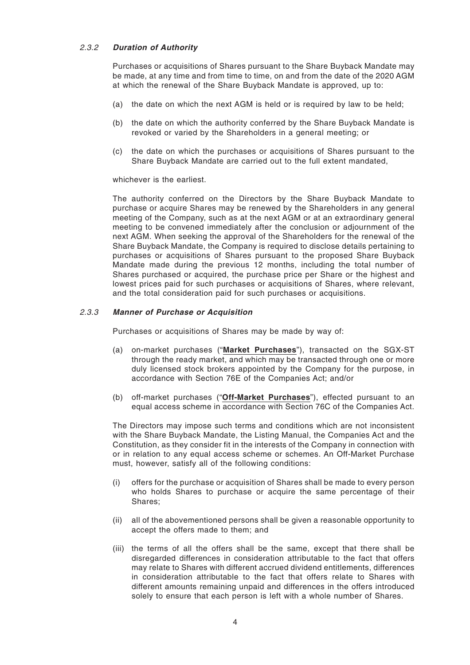#### 2.3.2 **Duration of Authority**

Purchases or acquisitions of Shares pursuant to the Share Buyback Mandate may be made, at any time and from time to time, on and from the date of the 2020 AGM at which the renewal of the Share Buyback Mandate is approved, up to:

- (a) the date on which the next AGM is held or is required by law to be held;
- (b) the date on which the authority conferred by the Share Buyback Mandate is revoked or varied by the Shareholders in a general meeting; or
- (c) the date on which the purchases or acquisitions of Shares pursuant to the Share Buyback Mandate are carried out to the full extent mandated,

whichever is the earliest.

The authority conferred on the Directors by the Share Buyback Mandate to purchase or acquire Shares may be renewed by the Shareholders in any general meeting of the Company, such as at the next AGM or at an extraordinary general meeting to be convened immediately after the conclusion or adjournment of the next AGM. When seeking the approval of the Shareholders for the renewal of the Share Buyback Mandate, the Company is required to disclose details pertaining to purchases or acquisitions of Shares pursuant to the proposed Share Buyback Mandate made during the previous 12 months, including the total number of Shares purchased or acquired, the purchase price per Share or the highest and lowest prices paid for such purchases or acquisitions of Shares, where relevant, and the total consideration paid for such purchases or acquisitions.

#### 2.3.3 **Manner of Purchase or Acquisition**

Purchases or acquisitions of Shares may be made by way of:

- (a) on-market purchases ("**Market Purchases**"), transacted on the SGX-ST through the ready market, and which may be transacted through one or more duly licensed stock brokers appointed by the Company for the purpose, in accordance with Section 76E of the Companies Act; and/or
- (b) off-market purchases ("**Off-Market Purchases**"), effected pursuant to an equal access scheme in accordance with Section 76C of the Companies Act.

The Directors may impose such terms and conditions which are not inconsistent with the Share Buyback Mandate, the Listing Manual, the Companies Act and the Constitution, as they consider fit in the interests of the Company in connection with or in relation to any equal access scheme or schemes. An Off-Market Purchase must, however, satisfy all of the following conditions:

- (i) offers for the purchase or acquisition of Shares shall be made to every person who holds Shares to purchase or acquire the same percentage of their Shares;
- (ii) all of the abovementioned persons shall be given a reasonable opportunity to accept the offers made to them; and
- (iii) the terms of all the offers shall be the same, except that there shall be disregarded differences in consideration attributable to the fact that offers may relate to Shares with different accrued dividend entitlements, differences in consideration attributable to the fact that offers relate to Shares with different amounts remaining unpaid and differences in the offers introduced solely to ensure that each person is left with a whole number of Shares.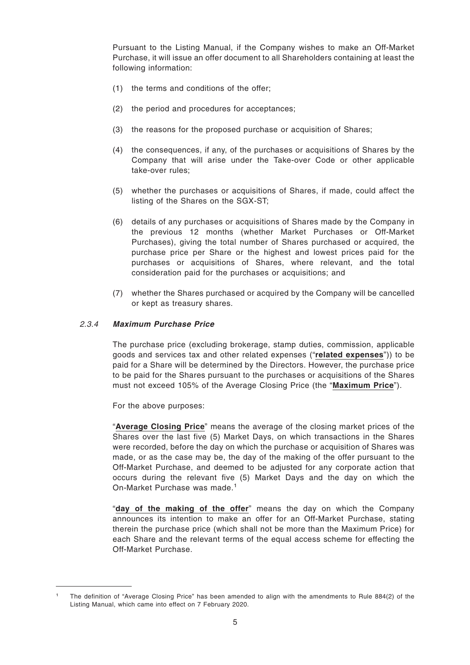Pursuant to the Listing Manual, if the Company wishes to make an Off-Market Purchase, it will issue an offer document to all Shareholders containing at least the following information:

- (1) the terms and conditions of the offer;
- (2) the period and procedures for acceptances;
- (3) the reasons for the proposed purchase or acquisition of Shares;
- (4) the consequences, if any, of the purchases or acquisitions of Shares by the Company that will arise under the Take-over Code or other applicable take-over rules;
- (5) whether the purchases or acquisitions of Shares, if made, could affect the listing of the Shares on the SGX-ST;
- (6) details of any purchases or acquisitions of Shares made by the Company in the previous 12 months (whether Market Purchases or Off-Market Purchases), giving the total number of Shares purchased or acquired, the purchase price per Share or the highest and lowest prices paid for the purchases or acquisitions of Shares, where relevant, and the total consideration paid for the purchases or acquisitions; and
- (7) whether the Shares purchased or acquired by the Company will be cancelled or kept as treasury shares.

#### 2.3.4 **Maximum Purchase Price**

The purchase price (excluding brokerage, stamp duties, commission, applicable goods and services tax and other related expenses ("**related expenses**")) to be paid for a Share will be determined by the Directors. However, the purchase price to be paid for the Shares pursuant to the purchases or acquisitions of the Shares must not exceed 105% of the Average Closing Price (the "**Maximum Price**").

For the above purposes:

"**Average Closing Price**" means the average of the closing market prices of the Shares over the last five (5) Market Days, on which transactions in the Shares were recorded, before the day on which the purchase or acquisition of Shares was made, or as the case may be, the day of the making of the offer pursuant to the Off-Market Purchase, and deemed to be adjusted for any corporate action that occurs during the relevant five (5) Market Days and the day on which the On-Market Purchase was made.<sup>1</sup>

"**day of the making of the offer**" means the day on which the Company announces its intention to make an offer for an Off-Market Purchase, stating therein the purchase price (which shall not be more than the Maximum Price) for each Share and the relevant terms of the equal access scheme for effecting the Off-Market Purchase.

<sup>1</sup> The definition of "Average Closing Price" has been amended to align with the amendments to Rule 884(2) of the Listing Manual, which came into effect on 7 February 2020.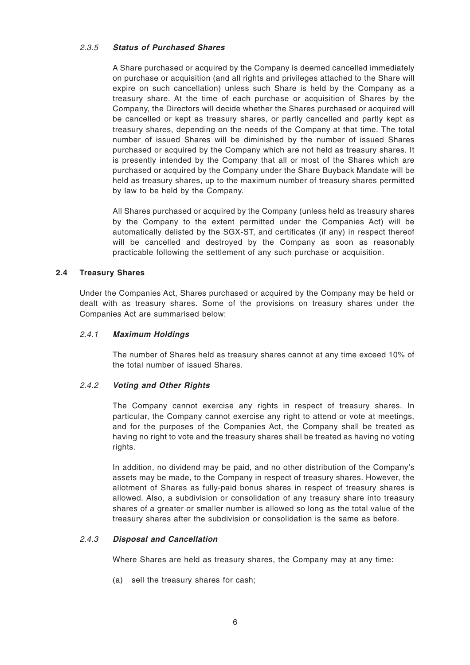#### 2.3.5 **Status of Purchased Shares**

A Share purchased or acquired by the Company is deemed cancelled immediately on purchase or acquisition (and all rights and privileges attached to the Share will expire on such cancellation) unless such Share is held by the Company as a treasury share. At the time of each purchase or acquisition of Shares by the Company, the Directors will decide whether the Shares purchased or acquired will be cancelled or kept as treasury shares, or partly cancelled and partly kept as treasury shares, depending on the needs of the Company at that time. The total number of issued Shares will be diminished by the number of issued Shares purchased or acquired by the Company which are not held as treasury shares. It is presently intended by the Company that all or most of the Shares which are purchased or acquired by the Company under the Share Buyback Mandate will be held as treasury shares, up to the maximum number of treasury shares permitted by law to be held by the Company.

All Shares purchased or acquired by the Company (unless held as treasury shares by the Company to the extent permitted under the Companies Act) will be automatically delisted by the SGX-ST, and certificates (if any) in respect thereof will be cancelled and destroyed by the Company as soon as reasonably practicable following the settlement of any such purchase or acquisition.

# **2.4 Treasury Shares**

Under the Companies Act, Shares purchased or acquired by the Company may be held or dealt with as treasury shares. Some of the provisions on treasury shares under the Companies Act are summarised below:

#### 2.4.1 **Maximum Holdings**

The number of Shares held as treasury shares cannot at any time exceed 10% of the total number of issued Shares.

#### 2.4.2 **Voting and Other Rights**

The Company cannot exercise any rights in respect of treasury shares. In particular, the Company cannot exercise any right to attend or vote at meetings, and for the purposes of the Companies Act, the Company shall be treated as having no right to vote and the treasury shares shall be treated as having no voting rights.

In addition, no dividend may be paid, and no other distribution of the Company's assets may be made, to the Company in respect of treasury shares. However, the allotment of Shares as fully-paid bonus shares in respect of treasury shares is allowed. Also, a subdivision or consolidation of any treasury share into treasury shares of a greater or smaller number is allowed so long as the total value of the treasury shares after the subdivision or consolidation is the same as before.

# 2.4.3 **Disposal and Cancellation**

Where Shares are held as treasury shares, the Company may at any time:

(a) sell the treasury shares for cash;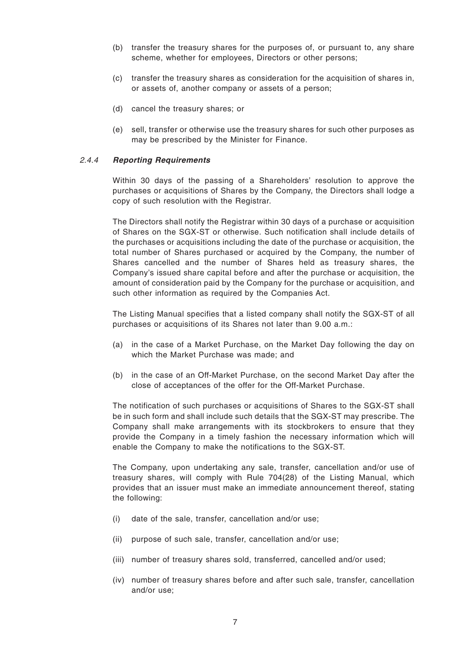- (b) transfer the treasury shares for the purposes of, or pursuant to, any share scheme, whether for employees, Directors or other persons;
- (c) transfer the treasury shares as consideration for the acquisition of shares in, or assets of, another company or assets of a person;
- (d) cancel the treasury shares; or
- (e) sell, transfer or otherwise use the treasury shares for such other purposes as may be prescribed by the Minister for Finance.

#### 2.4.4 **Reporting Requirements**

Within 30 days of the passing of a Shareholders' resolution to approve the purchases or acquisitions of Shares by the Company, the Directors shall lodge a copy of such resolution with the Registrar.

The Directors shall notify the Registrar within 30 days of a purchase or acquisition of Shares on the SGX-ST or otherwise. Such notification shall include details of the purchases or acquisitions including the date of the purchase or acquisition, the total number of Shares purchased or acquired by the Company, the number of Shares cancelled and the number of Shares held as treasury shares, the Company's issued share capital before and after the purchase or acquisition, the amount of consideration paid by the Company for the purchase or acquisition, and such other information as required by the Companies Act.

The Listing Manual specifies that a listed company shall notify the SGX-ST of all purchases or acquisitions of its Shares not later than 9.00 a.m.:

- (a) in the case of a Market Purchase, on the Market Day following the day on which the Market Purchase was made; and
- (b) in the case of an Off-Market Purchase, on the second Market Day after the close of acceptances of the offer for the Off-Market Purchase.

The notification of such purchases or acquisitions of Shares to the SGX-ST shall be in such form and shall include such details that the SGX-ST may prescribe. The Company shall make arrangements with its stockbrokers to ensure that they provide the Company in a timely fashion the necessary information which will enable the Company to make the notifications to the SGX-ST.

The Company, upon undertaking any sale, transfer, cancellation and/or use of treasury shares, will comply with Rule 704(28) of the Listing Manual, which provides that an issuer must make an immediate announcement thereof, stating the following:

- (i) date of the sale, transfer, cancellation and/or use;
- (ii) purpose of such sale, transfer, cancellation and/or use;
- (iii) number of treasury shares sold, transferred, cancelled and/or used;
- (iv) number of treasury shares before and after such sale, transfer, cancellation and/or use;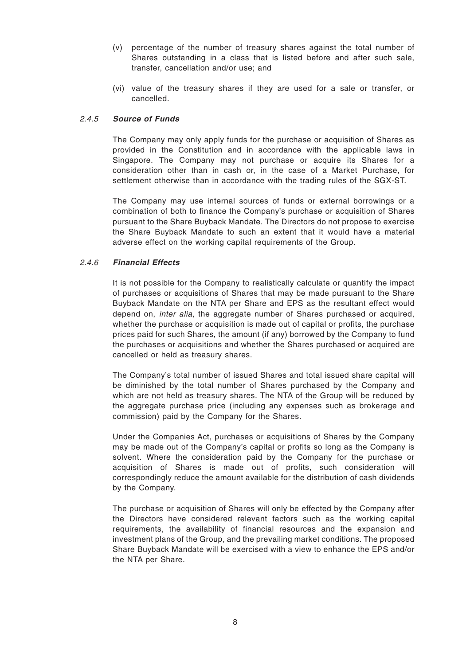- (v) percentage of the number of treasury shares against the total number of Shares outstanding in a class that is listed before and after such sale, transfer, cancellation and/or use; and
- (vi) value of the treasury shares if they are used for a sale or transfer, or cancelled.

# 2.4.5 **Source of Funds**

The Company may only apply funds for the purchase or acquisition of Shares as provided in the Constitution and in accordance with the applicable laws in Singapore. The Company may not purchase or acquire its Shares for a consideration other than in cash or, in the case of a Market Purchase, for settlement otherwise than in accordance with the trading rules of the SGX-ST.

The Company may use internal sources of funds or external borrowings or a combination of both to finance the Company's purchase or acquisition of Shares pursuant to the Share Buyback Mandate. The Directors do not propose to exercise the Share Buyback Mandate to such an extent that it would have a material adverse effect on the working capital requirements of the Group.

# 2.4.6 **Financial Effects**

It is not possible for the Company to realistically calculate or quantify the impact of purchases or acquisitions of Shares that may be made pursuant to the Share Buyback Mandate on the NTA per Share and EPS as the resultant effect would depend on, inter alia, the aggregate number of Shares purchased or acquired, whether the purchase or acquisition is made out of capital or profits, the purchase prices paid for such Shares, the amount (if any) borrowed by the Company to fund the purchases or acquisitions and whether the Shares purchased or acquired are cancelled or held as treasury shares.

The Company's total number of issued Shares and total issued share capital will be diminished by the total number of Shares purchased by the Company and which are not held as treasury shares. The NTA of the Group will be reduced by the aggregate purchase price (including any expenses such as brokerage and commission) paid by the Company for the Shares.

Under the Companies Act, purchases or acquisitions of Shares by the Company may be made out of the Company's capital or profits so long as the Company is solvent. Where the consideration paid by the Company for the purchase or acquisition of Shares is made out of profits, such consideration will correspondingly reduce the amount available for the distribution of cash dividends by the Company.

The purchase or acquisition of Shares will only be effected by the Company after the Directors have considered relevant factors such as the working capital requirements, the availability of financial resources and the expansion and investment plans of the Group, and the prevailing market conditions. The proposed Share Buyback Mandate will be exercised with a view to enhance the EPS and/or the NTA per Share.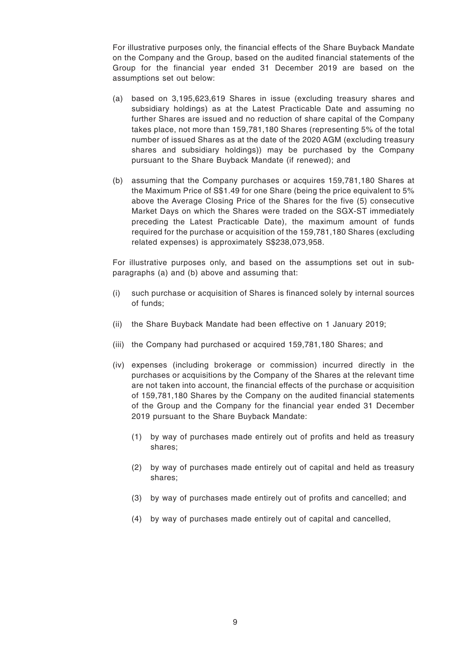For illustrative purposes only, the financial effects of the Share Buyback Mandate on the Company and the Group, based on the audited financial statements of the Group for the financial year ended 31 December 2019 are based on the assumptions set out below:

- (a) based on 3,195,623,619 Shares in issue (excluding treasury shares and subsidiary holdings) as at the Latest Practicable Date and assuming no further Shares are issued and no reduction of share capital of the Company takes place, not more than 159,781,180 Shares (representing 5% of the total number of issued Shares as at the date of the 2020 AGM (excluding treasury shares and subsidiary holdings)) may be purchased by the Company pursuant to the Share Buyback Mandate (if renewed); and
- (b) assuming that the Company purchases or acquires 159,781,180 Shares at the Maximum Price of S\$1.49 for one Share (being the price equivalent to 5% above the Average Closing Price of the Shares for the five (5) consecutive Market Days on which the Shares were traded on the SGX-ST immediately preceding the Latest Practicable Date), the maximum amount of funds required for the purchase or acquisition of the 159,781,180 Shares (excluding related expenses) is approximately S\$238,073,958.

For illustrative purposes only, and based on the assumptions set out in subparagraphs (a) and (b) above and assuming that:

- (i) such purchase or acquisition of Shares is financed solely by internal sources of funds;
- (ii) the Share Buyback Mandate had been effective on 1 January 2019;
- (iii) the Company had purchased or acquired 159,781,180 Shares; and
- (iv) expenses (including brokerage or commission) incurred directly in the purchases or acquisitions by the Company of the Shares at the relevant time are not taken into account, the financial effects of the purchase or acquisition of 159,781,180 Shares by the Company on the audited financial statements of the Group and the Company for the financial year ended 31 December 2019 pursuant to the Share Buyback Mandate:
	- (1) by way of purchases made entirely out of profits and held as treasury shares;
	- (2) by way of purchases made entirely out of capital and held as treasury shares;
	- (3) by way of purchases made entirely out of profits and cancelled; and
	- (4) by way of purchases made entirely out of capital and cancelled,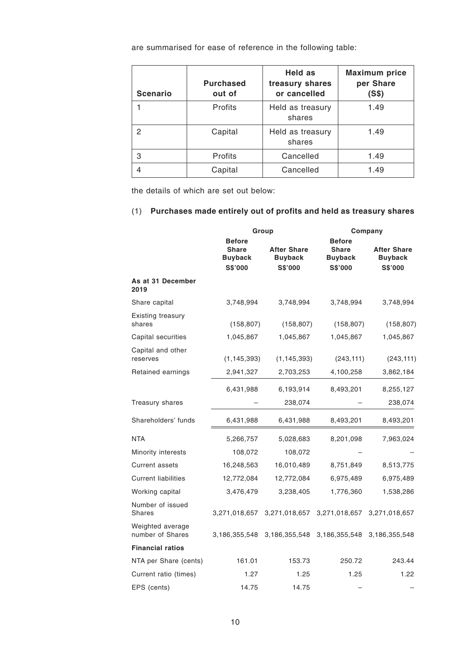are summarised for ease of reference in the following table:

| <b>Scenario</b> | <b>Purchased</b><br>out of | Held as<br>treasury shares<br>or cancelled | <b>Maximum price</b><br>per Share<br>(S\$) |
|-----------------|----------------------------|--------------------------------------------|--------------------------------------------|
|                 | Profits                    | Held as treasury<br>shares                 | 1.49                                       |
| 2               | Capital                    | Held as treasury<br>shares                 | 1.49                                       |
| 3               | Profits                    | Cancelled                                  | 1.49                                       |
|                 | Capital                    | Cancelled                                  | 1.49                                       |

the details of which are set out below:

# (1) **Purchases made entirely out of profits and held as treasury shares**

|                                      |                                                            | Group                                                  |                                                                   | Company                                                |  |  |
|--------------------------------------|------------------------------------------------------------|--------------------------------------------------------|-------------------------------------------------------------------|--------------------------------------------------------|--|--|
|                                      | <b>Before</b><br><b>Share</b><br><b>Buyback</b><br>S\$'000 | <b>After Share</b><br><b>Buyback</b><br><b>S\$'000</b> | <b>Before</b><br><b>Share</b><br><b>Buyback</b><br><b>S\$'000</b> | <b>After Share</b><br><b>Buyback</b><br><b>S\$'000</b> |  |  |
| As at 31 December<br>2019            |                                                            |                                                        |                                                                   |                                                        |  |  |
| Share capital                        | 3,748,994                                                  | 3,748,994                                              | 3,748,994                                                         | 3,748,994                                              |  |  |
| <b>Existing treasury</b><br>shares   | (158, 807)                                                 | (158, 807)                                             | (158, 807)                                                        | (158, 807)                                             |  |  |
| Capital securities                   | 1,045,867                                                  | 1,045,867                                              | 1,045,867                                                         | 1,045,867                                              |  |  |
| Capital and other<br>reserves        | (1, 145, 393)                                              | (1, 145, 393)                                          | (243, 111)                                                        | (243, 111)                                             |  |  |
| Retained earnings                    | 2,941,327                                                  | 2,703,253                                              | 4,100,258                                                         | 3,862,184                                              |  |  |
|                                      | 6,431,988                                                  | 6,193,914                                              | 8,493,201                                                         | 8,255,127                                              |  |  |
| Treasury shares                      |                                                            | 238,074                                                |                                                                   | 238,074                                                |  |  |
| Shareholders' funds                  | 6,431,988                                                  | 6,431,988                                              | 8,493,201                                                         | 8,493,201                                              |  |  |
| <b>NTA</b>                           | 5,266,757                                                  | 5,028,683                                              | 8,201,098                                                         | 7,963,024                                              |  |  |
| Minority interests                   | 108,072                                                    | 108,072                                                |                                                                   |                                                        |  |  |
| <b>Current assets</b>                | 16,248,563                                                 | 16,010,489                                             | 8,751,849                                                         | 8,513,775                                              |  |  |
| <b>Current liabilities</b>           | 12,772,084                                                 | 12,772,084                                             | 6,975,489                                                         | 6,975,489                                              |  |  |
| Working capital                      | 3,476,479                                                  | 3,238,405                                              | 1,776,360                                                         | 1,538,286                                              |  |  |
| Number of issued<br><b>Shares</b>    | 3,271,018,657                                              | 3,271,018,657                                          | 3,271,018,657                                                     | 3,271,018,657                                          |  |  |
| Weighted average<br>number of Shares | 3,186,355,548                                              | 3,186,355,548                                          | 3,186,355,548                                                     | 3,186,355,548                                          |  |  |
| <b>Financial ratios</b>              |                                                            |                                                        |                                                                   |                                                        |  |  |
| NTA per Share (cents)                | 161.01                                                     | 153.73                                                 | 250.72                                                            | 243.44                                                 |  |  |
| Current ratio (times)                | 1.27                                                       | 1.25                                                   | 1.25                                                              | 1.22                                                   |  |  |
| EPS (cents)                          | 14.75                                                      | 14.75                                                  |                                                                   |                                                        |  |  |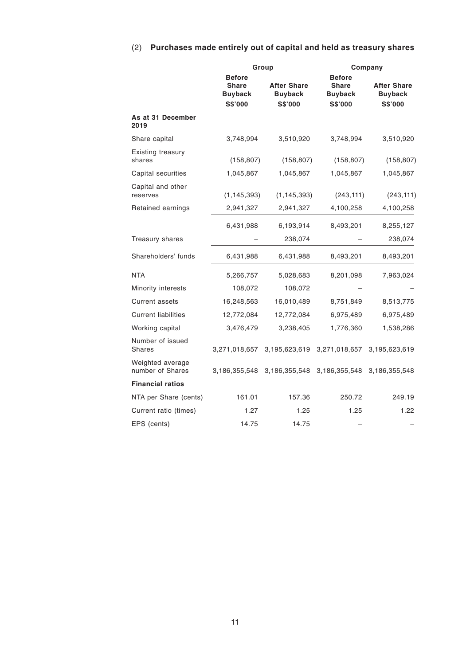# (2) **Purchases made entirely out of capital and held as treasury shares**

|                                      |                                                                   | Group                                                  |                                                                   | Company                                                |  |  |  |
|--------------------------------------|-------------------------------------------------------------------|--------------------------------------------------------|-------------------------------------------------------------------|--------------------------------------------------------|--|--|--|
|                                      | <b>Before</b><br><b>Share</b><br><b>Buyback</b><br><b>S\$'000</b> | <b>After Share</b><br><b>Buyback</b><br><b>S\$'000</b> | <b>Before</b><br><b>Share</b><br><b>Buyback</b><br><b>S\$'000</b> | <b>After Share</b><br><b>Buyback</b><br><b>S\$'000</b> |  |  |  |
| As at 31 December<br>2019            |                                                                   |                                                        |                                                                   |                                                        |  |  |  |
| Share capital                        | 3,748,994                                                         | 3,510,920                                              | 3,748,994                                                         | 3,510,920                                              |  |  |  |
| Existing treasury<br>shares          | (158, 807)                                                        | (158, 807)                                             | (158, 807)                                                        | (158, 807)                                             |  |  |  |
| Capital securities                   | 1,045,867                                                         | 1,045,867                                              | 1,045,867                                                         | 1,045,867                                              |  |  |  |
| Capital and other<br>reserves        | (1, 145, 393)                                                     | (1, 145, 393)                                          | (243, 111)                                                        | (243, 111)                                             |  |  |  |
| Retained earnings                    | 2,941,327                                                         | 2,941,327                                              | 4,100,258                                                         | 4,100,258                                              |  |  |  |
|                                      | 6,431,988                                                         | 6,193,914                                              | 8,493,201                                                         | 8,255,127                                              |  |  |  |
| Treasury shares                      |                                                                   | 238,074                                                |                                                                   | 238,074                                                |  |  |  |
| Shareholders' funds                  | 6,431,988                                                         | 6,431,988                                              | 8,493,201                                                         | 8,493,201                                              |  |  |  |
| <b>NTA</b>                           | 5,266,757                                                         | 5,028,683                                              | 8,201,098                                                         | 7,963,024                                              |  |  |  |
| Minority interests                   | 108,072                                                           | 108,072                                                |                                                                   |                                                        |  |  |  |
| <b>Current assets</b>                | 16,248,563                                                        | 16,010,489                                             | 8,751,849                                                         | 8,513,775                                              |  |  |  |
| <b>Current liabilities</b>           | 12,772,084                                                        | 12,772,084                                             | 6,975,489                                                         | 6,975,489                                              |  |  |  |
| Working capital                      | 3,476,479                                                         | 3,238,405                                              | 1,776,360                                                         | 1,538,286                                              |  |  |  |
| Number of issued<br><b>Shares</b>    | 3,271,018,657                                                     | 3,195,623,619                                          | 3,271,018,657                                                     | 3,195,623,619                                          |  |  |  |
| Weighted average<br>number of Shares | 3,186,355,548                                                     | 3,186,355,548                                          | 3,186,355,548                                                     | 3,186,355,548                                          |  |  |  |
| <b>Financial ratios</b>              |                                                                   |                                                        |                                                                   |                                                        |  |  |  |
| NTA per Share (cents)                | 161.01                                                            | 157.36                                                 | 250.72                                                            | 249.19                                                 |  |  |  |
| Current ratio (times)                | 1.27                                                              | 1.25                                                   | 1.25                                                              | 1.22                                                   |  |  |  |
| EPS (cents)                          | 14.75                                                             | 14.75                                                  |                                                                   |                                                        |  |  |  |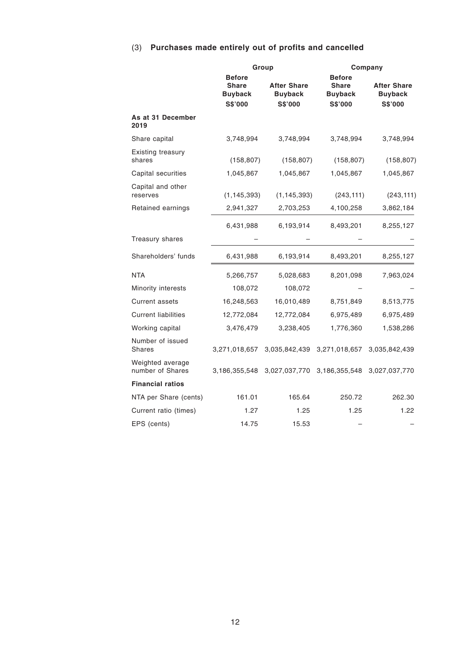# (3) **Purchases made entirely out of profits and cancelled**

|                                      |                                                            | Group                                           |                                                            | Company                                         |  |  |
|--------------------------------------|------------------------------------------------------------|-------------------------------------------------|------------------------------------------------------------|-------------------------------------------------|--|--|
|                                      | <b>Before</b><br><b>Share</b><br><b>Buyback</b><br>S\$'000 | <b>After Share</b><br><b>Buyback</b><br>S\$'000 | <b>Before</b><br><b>Share</b><br><b>Buyback</b><br>S\$'000 | <b>After Share</b><br><b>Buyback</b><br>S\$'000 |  |  |
| As at 31 December<br>2019            |                                                            |                                                 |                                                            |                                                 |  |  |
| Share capital                        | 3,748,994                                                  | 3,748,994                                       | 3,748,994                                                  | 3,748,994                                       |  |  |
| <b>Existing treasury</b><br>shares   | (158, 807)                                                 | (158, 807)                                      | (158, 807)                                                 | (158, 807)                                      |  |  |
| Capital securities                   | 1,045,867                                                  | 1,045,867                                       | 1,045,867                                                  | 1,045,867                                       |  |  |
| Capital and other<br>reserves        | (1, 145, 393)                                              | (1, 145, 393)                                   | (243, 111)                                                 | (243, 111)                                      |  |  |
| Retained earnings                    | 2,941,327                                                  | 2,703,253                                       | 4,100,258                                                  | 3,862,184                                       |  |  |
|                                      | 6,431,988                                                  | 6,193,914                                       | 8,493,201                                                  | 8,255,127                                       |  |  |
| Treasury shares                      |                                                            |                                                 |                                                            |                                                 |  |  |
| Shareholders' funds                  | 6,431,988                                                  | 6,193,914                                       | 8,493,201                                                  | 8,255,127                                       |  |  |
| <b>NTA</b>                           | 5,266,757                                                  | 5,028,683                                       | 8,201,098                                                  | 7,963,024                                       |  |  |
| Minority interests                   | 108,072                                                    | 108,072                                         |                                                            |                                                 |  |  |
| <b>Current assets</b>                | 16,248,563                                                 | 16,010,489                                      | 8,751,849                                                  | 8,513,775                                       |  |  |
| <b>Current liabilities</b>           | 12,772,084                                                 | 12,772,084                                      | 6,975,489                                                  | 6,975,489                                       |  |  |
| Working capital                      | 3,476,479                                                  | 3,238,405                                       | 1,776,360                                                  | 1,538,286                                       |  |  |
| Number of issued<br>Shares           | 3,271,018,657                                              | 3,035,842,439                                   | 3,271,018,657                                              | 3,035,842,439                                   |  |  |
| Weighted average<br>number of Shares | 3,186,355,548                                              | 3,027,037,770                                   | 3,186,355,548                                              | 3,027,037,770                                   |  |  |
| <b>Financial ratios</b>              |                                                            |                                                 |                                                            |                                                 |  |  |
| NTA per Share (cents)                | 161.01                                                     | 165.64                                          | 250.72                                                     | 262.30                                          |  |  |
| Current ratio (times)                | 1.27                                                       | 1.25                                            | 1.25                                                       | 1.22                                            |  |  |
| EPS (cents)                          | 14.75                                                      | 15.53                                           |                                                            |                                                 |  |  |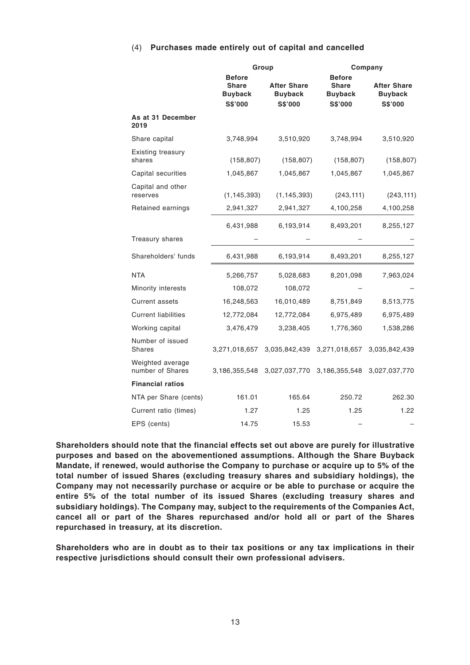#### (4) **Purchases made entirely out of capital and cancelled**

|                                      |                                                            | Group                                                  |                                                            | Company                                         |  |  |
|--------------------------------------|------------------------------------------------------------|--------------------------------------------------------|------------------------------------------------------------|-------------------------------------------------|--|--|
|                                      | <b>Before</b><br><b>Share</b><br><b>Buyback</b><br>S\$'000 | <b>After Share</b><br><b>Buyback</b><br><b>S\$'000</b> | <b>Before</b><br><b>Share</b><br><b>Buyback</b><br>S\$'000 | <b>After Share</b><br><b>Buyback</b><br>S\$'000 |  |  |
| As at 31 December<br>2019            |                                                            |                                                        |                                                            |                                                 |  |  |
| Share capital                        | 3,748,994                                                  | 3,510,920                                              | 3,748,994                                                  | 3,510,920                                       |  |  |
| Existing treasury<br>shares          | (158, 807)                                                 | (158, 807)                                             | (158, 807)                                                 | (158, 807)                                      |  |  |
| Capital securities                   | 1,045,867                                                  | 1,045,867                                              | 1,045,867                                                  | 1,045,867                                       |  |  |
| Capital and other<br>reserves        | (1, 145, 393)                                              | (1, 145, 393)                                          | (243, 111)                                                 | (243, 111)                                      |  |  |
| Retained earnings                    | 2,941,327                                                  | 2,941,327                                              | 4,100,258                                                  | 4,100,258                                       |  |  |
|                                      | 6,431,988                                                  | 6,193,914                                              | 8,493,201                                                  | 8,255,127                                       |  |  |
| Treasury shares                      |                                                            |                                                        |                                                            |                                                 |  |  |
| Shareholders' funds                  | 6,431,988                                                  | 6,193,914                                              | 8,493,201                                                  | 8,255,127                                       |  |  |
| <b>NTA</b>                           | 5,266,757                                                  | 5,028,683                                              | 8,201,098                                                  | 7,963,024                                       |  |  |
| Minority interests                   | 108,072                                                    | 108,072                                                |                                                            |                                                 |  |  |
| <b>Current assets</b>                | 16,248,563                                                 | 16,010,489                                             | 8,751,849                                                  | 8,513,775                                       |  |  |
| <b>Current liabilities</b>           | 12,772,084                                                 | 12,772,084                                             | 6,975,489                                                  | 6,975,489                                       |  |  |
| Working capital                      | 3,476,479                                                  | 3,238,405                                              | 1,776,360                                                  | 1,538,286                                       |  |  |
| Number of issued<br><b>Shares</b>    | 3,271,018,657                                              | 3,035,842,439                                          | 3,271,018,657                                              | 3,035,842,439                                   |  |  |
| Weighted average<br>number of Shares | 3,186,355,548                                              | 3,027,037,770                                          | 3,186,355,548                                              | 3,027,037,770                                   |  |  |
| <b>Financial ratios</b>              |                                                            |                                                        |                                                            |                                                 |  |  |
| NTA per Share (cents)                | 161.01                                                     | 165.64                                                 | 250.72                                                     | 262.30                                          |  |  |
| Current ratio (times)                | 1.27                                                       | 1.25                                                   | 1.25                                                       | 1.22                                            |  |  |
| EPS (cents)                          | 14.75                                                      | 15.53                                                  |                                                            |                                                 |  |  |

**Shareholders should note that the financial effects set out above are purely for illustrative purposes and based on the abovementioned assumptions. Although the Share Buyback Mandate, if renewed, would authorise the Company to purchase or acquire up to 5% of the total number of issued Shares (excluding treasury shares and subsidiary holdings), the Company may not necessarily purchase or acquire or be able to purchase or acquire the entire 5% of the total number of its issued Shares (excluding treasury shares and subsidiary holdings). The Company may, subject to the requirements of the Companies Act, cancel all or part of the Shares repurchased and/or hold all or part of the Shares repurchased in treasury, at its discretion.**

**Shareholders who are in doubt as to their tax positions or any tax implications in their respective jurisdictions should consult their own professional advisers.**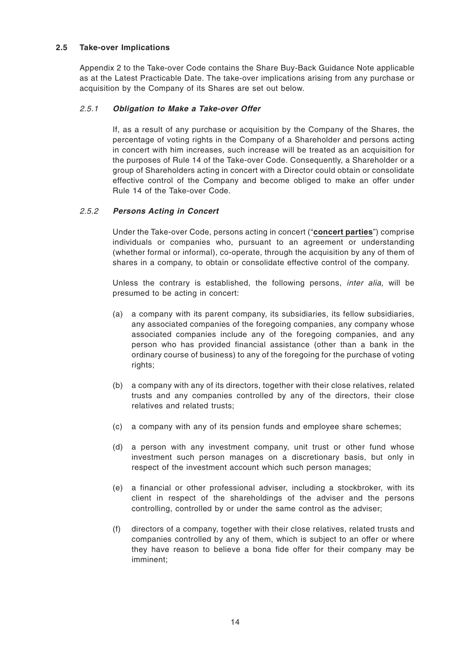#### **2.5 Take-over Implications**

Appendix 2 to the Take-over Code contains the Share Buy-Back Guidance Note applicable as at the Latest Practicable Date. The take-over implications arising from any purchase or acquisition by the Company of its Shares are set out below.

# 2.5.1 **Obligation to Make a Take-over Offer**

If, as a result of any purchase or acquisition by the Company of the Shares, the percentage of voting rights in the Company of a Shareholder and persons acting in concert with him increases, such increase will be treated as an acquisition for the purposes of Rule 14 of the Take-over Code. Consequently, a Shareholder or a group of Shareholders acting in concert with a Director could obtain or consolidate effective control of the Company and become obliged to make an offer under Rule 14 of the Take-over Code.

# 2.5.2 **Persons Acting in Concert**

Under the Take-over Code, persons acting in concert ("**concert parties**") comprise individuals or companies who, pursuant to an agreement or understanding (whether formal or informal), co-operate, through the acquisition by any of them of shares in a company, to obtain or consolidate effective control of the company.

Unless the contrary is established, the following persons, inter alia, will be presumed to be acting in concert:

- (a) a company with its parent company, its subsidiaries, its fellow subsidiaries, any associated companies of the foregoing companies, any company whose associated companies include any of the foregoing companies, and any person who has provided financial assistance (other than a bank in the ordinary course of business) to any of the foregoing for the purchase of voting rights;
- (b) a company with any of its directors, together with their close relatives, related trusts and any companies controlled by any of the directors, their close relatives and related trusts;
- (c) a company with any of its pension funds and employee share schemes;
- (d) a person with any investment company, unit trust or other fund whose investment such person manages on a discretionary basis, but only in respect of the investment account which such person manages;
- (e) a financial or other professional adviser, including a stockbroker, with its client in respect of the shareholdings of the adviser and the persons controlling, controlled by or under the same control as the adviser;
- (f) directors of a company, together with their close relatives, related trusts and companies controlled by any of them, which is subject to an offer or where they have reason to believe a bona fide offer for their company may be imminent;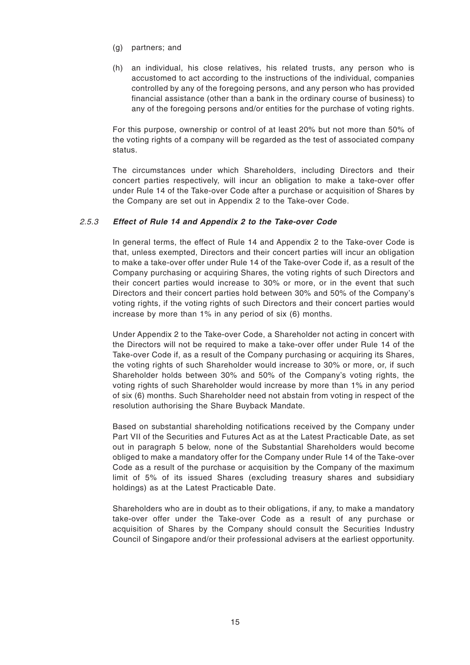- (g) partners; and
- (h) an individual, his close relatives, his related trusts, any person who is accustomed to act according to the instructions of the individual, companies controlled by any of the foregoing persons, and any person who has provided financial assistance (other than a bank in the ordinary course of business) to any of the foregoing persons and/or entities for the purchase of voting rights.

For this purpose, ownership or control of at least 20% but not more than 50% of the voting rights of a company will be regarded as the test of associated company status.

The circumstances under which Shareholders, including Directors and their concert parties respectively, will incur an obligation to make a take-over offer under Rule 14 of the Take-over Code after a purchase or acquisition of Shares by the Company are set out in Appendix 2 to the Take-over Code.

#### 2.5.3 **Effect of Rule 14 and Appendix 2 to the Take-over Code**

In general terms, the effect of Rule 14 and Appendix 2 to the Take-over Code is that, unless exempted, Directors and their concert parties will incur an obligation to make a take-over offer under Rule 14 of the Take-over Code if, as a result of the Company purchasing or acquiring Shares, the voting rights of such Directors and their concert parties would increase to 30% or more, or in the event that such Directors and their concert parties hold between 30% and 50% of the Company's voting rights, if the voting rights of such Directors and their concert parties would increase by more than 1% in any period of six (6) months.

Under Appendix 2 to the Take-over Code, a Shareholder not acting in concert with the Directors will not be required to make a take-over offer under Rule 14 of the Take-over Code if, as a result of the Company purchasing or acquiring its Shares, the voting rights of such Shareholder would increase to 30% or more, or, if such Shareholder holds between 30% and 50% of the Company's voting rights, the voting rights of such Shareholder would increase by more than 1% in any period of six (6) months. Such Shareholder need not abstain from voting in respect of the resolution authorising the Share Buyback Mandate.

Based on substantial shareholding notifications received by the Company under Part VII of the Securities and Futures Act as at the Latest Practicable Date, as set out in paragraph 5 below, none of the Substantial Shareholders would become obliged to make a mandatory offer for the Company under Rule 14 of the Take-over Code as a result of the purchase or acquisition by the Company of the maximum limit of 5% of its issued Shares (excluding treasury shares and subsidiary holdings) as at the Latest Practicable Date.

Shareholders who are in doubt as to their obligations, if any, to make a mandatory take-over offer under the Take-over Code as a result of any purchase or acquisition of Shares by the Company should consult the Securities Industry Council of Singapore and/or their professional advisers at the earliest opportunity.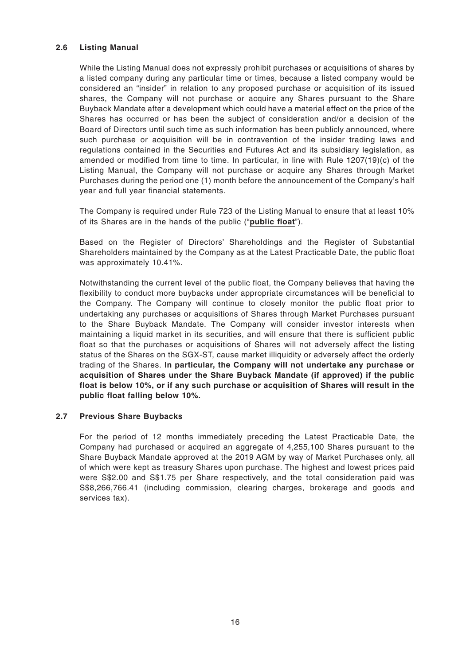#### **2.6 Listing Manual**

While the Listing Manual does not expressly prohibit purchases or acquisitions of shares by a listed company during any particular time or times, because a listed company would be considered an "insider" in relation to any proposed purchase or acquisition of its issued shares, the Company will not purchase or acquire any Shares pursuant to the Share Buyback Mandate after a development which could have a material effect on the price of the Shares has occurred or has been the subject of consideration and/or a decision of the Board of Directors until such time as such information has been publicly announced, where such purchase or acquisition will be in contravention of the insider trading laws and regulations contained in the Securities and Futures Act and its subsidiary legislation, as amended or modified from time to time. In particular, in line with Rule 1207(19)(c) of the Listing Manual, the Company will not purchase or acquire any Shares through Market Purchases during the period one (1) month before the announcement of the Company's half year and full year financial statements.

The Company is required under Rule 723 of the Listing Manual to ensure that at least 10% of its Shares are in the hands of the public ("**public float**").

Based on the Register of Directors' Shareholdings and the Register of Substantial Shareholders maintained by the Company as at the Latest Practicable Date, the public float was approximately 10.41%.

Notwithstanding the current level of the public float, the Company believes that having the flexibility to conduct more buybacks under appropriate circumstances will be beneficial to the Company. The Company will continue to closely monitor the public float prior to undertaking any purchases or acquisitions of Shares through Market Purchases pursuant to the Share Buyback Mandate. The Company will consider investor interests when maintaining a liquid market in its securities, and will ensure that there is sufficient public float so that the purchases or acquisitions of Shares will not adversely affect the listing status of the Shares on the SGX-ST, cause market illiquidity or adversely affect the orderly trading of the Shares. **In particular, the Company will not undertake any purchase or acquisition of Shares under the Share Buyback Mandate (if approved) if the public float is below 10%, or if any such purchase or acquisition of Shares will result in the public float falling below 10%.**

#### **2.7 Previous Share Buybacks**

For the period of 12 months immediately preceding the Latest Practicable Date, the Company had purchased or acquired an aggregate of 4,255,100 Shares pursuant to the Share Buyback Mandate approved at the 2019 AGM by way of Market Purchases only, all of which were kept as treasury Shares upon purchase. The highest and lowest prices paid were S\$2.00 and S\$1.75 per Share respectively, and the total consideration paid was S\$8,266,766.41 (including commission, clearing charges, brokerage and goods and services tax).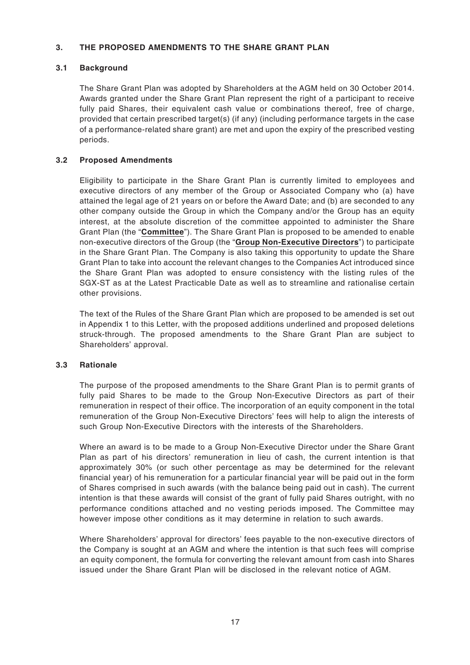# **3. THE PROPOSED AMENDMENTS TO THE SHARE GRANT PLAN**

# **3.1 Background**

The Share Grant Plan was adopted by Shareholders at the AGM held on 30 October 2014. Awards granted under the Share Grant Plan represent the right of a participant to receive fully paid Shares, their equivalent cash value or combinations thereof, free of charge, provided that certain prescribed target(s) (if any) (including performance targets in the case of a performance-related share grant) are met and upon the expiry of the prescribed vesting periods.

# **3.2 Proposed Amendments**

Eligibility to participate in the Share Grant Plan is currently limited to employees and executive directors of any member of the Group or Associated Company who (a) have attained the legal age of 21 years on or before the Award Date; and (b) are seconded to any other company outside the Group in which the Company and/or the Group has an equity interest, at the absolute discretion of the committee appointed to administer the Share Grant Plan (the "**Committee**"). The Share Grant Plan is proposed to be amended to enable non-executive directors of the Group (the "**Group Non-Executive Directors**") to participate in the Share Grant Plan. The Company is also taking this opportunity to update the Share Grant Plan to take into account the relevant changes to the Companies Act introduced since the Share Grant Plan was adopted to ensure consistency with the listing rules of the SGX-ST as at the Latest Practicable Date as well as to streamline and rationalise certain other provisions.

The text of the Rules of the Share Grant Plan which are proposed to be amended is set out in Appendix 1 to this Letter, with the proposed additions underlined and proposed deletions struck-through. The proposed amendments to the Share Grant Plan are subject to Shareholders' approval.

#### **3.3 Rationale**

The purpose of the proposed amendments to the Share Grant Plan is to permit grants of fully paid Shares to be made to the Group Non-Executive Directors as part of their remuneration in respect of their office. The incorporation of an equity component in the total remuneration of the Group Non-Executive Directors' fees will help to align the interests of such Group Non-Executive Directors with the interests of the Shareholders.

Where an award is to be made to a Group Non-Executive Director under the Share Grant Plan as part of his directors' remuneration in lieu of cash, the current intention is that approximately 30% (or such other percentage as may be determined for the relevant financial year) of his remuneration for a particular financial year will be paid out in the form of Shares comprised in such awards (with the balance being paid out in cash). The current intention is that these awards will consist of the grant of fully paid Shares outright, with no performance conditions attached and no vesting periods imposed. The Committee may however impose other conditions as it may determine in relation to such awards.

Where Shareholders' approval for directors' fees payable to the non-executive directors of the Company is sought at an AGM and where the intention is that such fees will comprise an equity component, the formula for converting the relevant amount from cash into Shares issued under the Share Grant Plan will be disclosed in the relevant notice of AGM.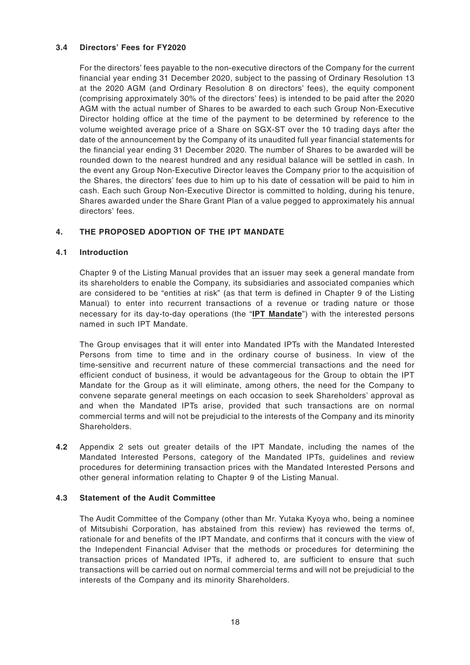# **3.4 Directors' Fees for FY2020**

For the directors' fees payable to the non-executive directors of the Company for the current financial year ending 31 December 2020, subject to the passing of Ordinary Resolution 13 at the 2020 AGM (and Ordinary Resolution 8 on directors' fees), the equity component (comprising approximately 30% of the directors' fees) is intended to be paid after the 2020 AGM with the actual number of Shares to be awarded to each such Group Non-Executive Director holding office at the time of the payment to be determined by reference to the volume weighted average price of a Share on SGX-ST over the 10 trading days after the date of the announcement by the Company of its unaudited full year financial statements for the financial year ending 31 December 2020. The number of Shares to be awarded will be rounded down to the nearest hundred and any residual balance will be settled in cash. In the event any Group Non-Executive Director leaves the Company prior to the acquisition of the Shares, the directors' fees due to him up to his date of cessation will be paid to him in cash. Each such Group Non-Executive Director is committed to holding, during his tenure, Shares awarded under the Share Grant Plan of a value pegged to approximately his annual directors' fees.

# **4. THE PROPOSED ADOPTION OF THE IPT MANDATE**

#### **4.1 Introduction**

Chapter 9 of the Listing Manual provides that an issuer may seek a general mandate from its shareholders to enable the Company, its subsidiaries and associated companies which are considered to be "entities at risk" (as that term is defined in Chapter 9 of the Listing Manual) to enter into recurrent transactions of a revenue or trading nature or those necessary for its day-to-day operations (the "**IPT Mandate**") with the interested persons named in such IPT Mandate.

The Group envisages that it will enter into Mandated IPTs with the Mandated Interested Persons from time to time and in the ordinary course of business. In view of the time-sensitive and recurrent nature of these commercial transactions and the need for efficient conduct of business, it would be advantageous for the Group to obtain the IPT Mandate for the Group as it will eliminate, among others, the need for the Company to convene separate general meetings on each occasion to seek Shareholders' approval as and when the Mandated IPTs arise, provided that such transactions are on normal commercial terms and will not be prejudicial to the interests of the Company and its minority Shareholders.

**4.2** Appendix 2 sets out greater details of the IPT Mandate, including the names of the Mandated Interested Persons, category of the Mandated IPTs, guidelines and review procedures for determining transaction prices with the Mandated Interested Persons and other general information relating to Chapter 9 of the Listing Manual.

#### **4.3 Statement of the Audit Committee**

The Audit Committee of the Company (other than Mr. Yutaka Kyoya who, being a nominee of Mitsubishi Corporation, has abstained from this review) has reviewed the terms of, rationale for and benefits of the IPT Mandate, and confirms that it concurs with the view of the Independent Financial Adviser that the methods or procedures for determining the transaction prices of Mandated IPTs, if adhered to, are sufficient to ensure that such transactions will be carried out on normal commercial terms and will not be prejudicial to the interests of the Company and its minority Shareholders.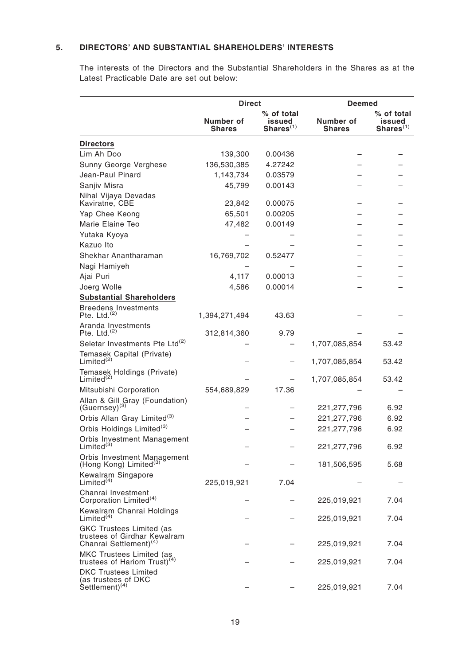# **5. DIRECTORS' AND SUBSTANTIAL SHAREHOLDERS' INTERESTS**

The interests of the Directors and the Substantial Shareholders in the Shares as at the Latest Practicable Date are set out below:

|                                                                                                       | <b>Direct</b>              |                          | <b>Deemed</b>              |                        |  |
|-------------------------------------------------------------------------------------------------------|----------------------------|--------------------------|----------------------------|------------------------|--|
|                                                                                                       |                            | % of total               | % of total                 |                        |  |
|                                                                                                       | Number of<br><b>Shares</b> | issued<br>$Shares^{(1)}$ | Number of<br><b>Shares</b> | issued<br>Shares $(1)$ |  |
| <b>Directors</b>                                                                                      |                            |                          |                            |                        |  |
| Lim Ah Doo                                                                                            | 139,300                    | 0.00436                  |                            |                        |  |
| Sunny George Verghese                                                                                 | 136,530,385                | 4.27242                  |                            |                        |  |
| Jean-Paul Pinard                                                                                      | 1,143,734                  | 0.03579                  |                            |                        |  |
| Sanjiv Misra                                                                                          | 45,799                     | 0.00143                  |                            |                        |  |
| Nihal Vijaya Devadas<br>Kaviratne, CBE                                                                | 23,842                     | 0.00075                  |                            |                        |  |
| Yap Chee Keong                                                                                        | 65,501                     | 0.00205                  |                            |                        |  |
| Marie Elaine Teo                                                                                      | 47,482                     | 0.00149                  |                            |                        |  |
| Yutaka Kyoya                                                                                          |                            |                          |                            |                        |  |
| Kazuo Ito                                                                                             |                            |                          |                            |                        |  |
| Shekhar Anantharaman                                                                                  | 16,769,702                 | 0.52477                  |                            |                        |  |
| Nagi Hamiyeh                                                                                          |                            |                          |                            |                        |  |
| Ajai Puri                                                                                             | 4,117                      | 0.00013                  |                            |                        |  |
| Joerg Wolle                                                                                           | 4,586                      | 0.00014                  |                            |                        |  |
| <b>Substantial Shareholders</b>                                                                       |                            |                          |                            |                        |  |
| <b>Breedens Investments</b><br>Pte. Ltd. $^{(2)}$                                                     | 1,394,271,494              | 43.63                    |                            |                        |  |
| Aranda Investments<br>Pte. Ltd. $(2)$                                                                 | 312,814,360                | 9.79                     |                            |                        |  |
| Seletar Investments Pte Ltd <sup>(2)</sup>                                                            |                            |                          | 1,707,085,854              | 53.42                  |  |
| Temasek Capital (Private)<br>Limited <sup>(2)</sup>                                                   |                            |                          | 1,707,085,854              | 53.42                  |  |
| Temasek Holdings (Private)<br>Limited <sup>(2)</sup>                                                  |                            |                          | 1,707,085,854              | 53.42                  |  |
| Mitsubishi Corporation                                                                                | 554,689,829                | 17.36                    |                            |                        |  |
| Allan & Gill Gray (Foundation)<br>$(Guernsey)^{(3)}$                                                  |                            |                          | 221, 277, 796              | 6.92                   |  |
| Orbis Allan Gray Limited <sup>(3)</sup>                                                               |                            |                          | 221, 277, 796              | 6.92                   |  |
| Orbis Holdings Limited <sup>(3)</sup>                                                                 |                            |                          | 221, 277, 796              | 6.92                   |  |
| Orbis Investment Management<br>Limited <sup>(3)</sup>                                                 |                            |                          | 221,277,796                | 6.92                   |  |
| Orbis Investment Management<br>(Hong Kong) Limited <sup>(3)</sup>                                     |                            |                          | 181,506,595                | 5.68                   |  |
| Kewalram Singapore<br>Limited <sup>(4)</sup>                                                          | 225,019,921                | 7.04                     |                            |                        |  |
| Chanrai Investment<br>Corporation Limited <sup>(4)</sup>                                              |                            |                          | 225,019,921                | 7.04                   |  |
| Kewalram Chanrai Holdings<br>Limited <sup>(4)</sup>                                                   |                            |                          | 225,019,921                | 7.04                   |  |
| <b>GKC Trustees Limited (as</b><br>trustees of Girdhar Kewalram<br>Chanrai Settlement) <sup>(4)</sup> |                            |                          | 225,019,921                | 7.04                   |  |
| MKC Trustees Limited (as<br>trustees of Hariom Trust) $(4)$                                           |                            |                          | 225,019,921                | 7.04                   |  |
| <b>DKC Trustees Limited</b><br>(as trustees of DKC<br>Settlement) <sup>(4)</sup>                      |                            |                          | 225,019,921                | 7.04                   |  |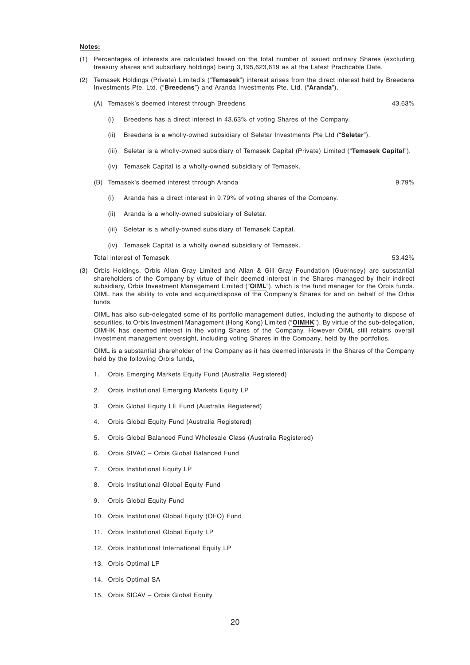#### **Notes:**

- (1) Percentages of interests are calculated based on the total number of issued ordinary Shares (excluding treasury shares and subsidiary holdings) being 3,195,623,619 as at the Latest Practicable Date.
- (2) Temasek Holdings (Private) Limited's ("**Temasek**") interest arises from the direct interest held by Breedens Investments Pte. Ltd. ("**Breedens**") and Aranda Investments Pte. Ltd. ("**Aranda**").
	- (A) Temasek's deemed interest through Breedens 43.63%
		- (i) Breedens has a direct interest in 43.63% of voting Shares of the Company.
		- (ii) Breedens is a wholly-owned subsidiary of Seletar Investments Pte Ltd ("**Seletar**").
		- (iii) Seletar is a wholly-owned subsidiary of Temasek Capital (Private) Limited ("**Temasek Capital**").
		- (iv) Temasek Capital is a wholly-owned subsidiary of Temasek.
	- (B) Temasek's deemed interest through Aranda 9.79%
		- (i) Aranda has a direct interest in 9.79% of voting shares of the Company.
		- (ii) Aranda is a wholly-owned subsidiary of Seletar.
		- (iii) Seletar is a wholly-owned subsidiary of Temasek Capital.
		- (iv) Temasek Capital is a wholly owned subsidiary of Temasek.

Total interest of Temasek 53.42% and the state of Temasek 53.42% 53.42%

(3) Orbis Holdings, Orbis Allan Gray Limited and Allan & Gill Gray Foundation (Guernsey) are substantial shareholders of the Company by virtue of their deemed interest in the Shares managed by their indirect subsidiary, Orbis Investment Management Limited ("**OIML**"), which is the fund manager for the Orbis funds. OIML has the ability to vote and acquire/dispose of the Company's Shares for and on behalf of the Orbis funds.

OIML has also sub-delegated some of its portfolio management duties, including the authority to dispose of securities, to Orbis Investment Management (Hong Kong) Limited ("**OIMHK**"). By virtue of the sub-delegation, OIMHK has deemed interest in the voting Shares of the Company. However OIML still retains overall investment management oversight, including voting Shares in the Company, held by the portfolios.

OIML is a substantial shareholder of the Company as it has deemed interests in the Shares of the Company held by the following Orbis funds,

- 1. Orbis Emerging Markets Equity Fund (Australia Registered)
- 2. Orbis Institutional Emerging Markets Equity LP
- 3. Orbis Global Equity LE Fund (Australia Registered)
- 4. Orbis Global Equity Fund (Australia Registered)
- 5. Orbis Global Balanced Fund Wholesale Class (Australia Registered)
- 6. Orbis SIVAC Orbis Global Balanced Fund
- 7. Orbis Institutional Equity LP
- 8. Orbis Institutional Global Equity Fund
- 9. Orbis Global Equity Fund
- 10. Orbis Institutional Global Equity (OFO) Fund
- 11. Orbis Institutional Global Equity LP
- 12. Orbis Institutional International Equity LP
- 13. Orbis Optimal LP
- 14. Orbis Optimal SA
- 15. Orbis SICAV Orbis Global Equity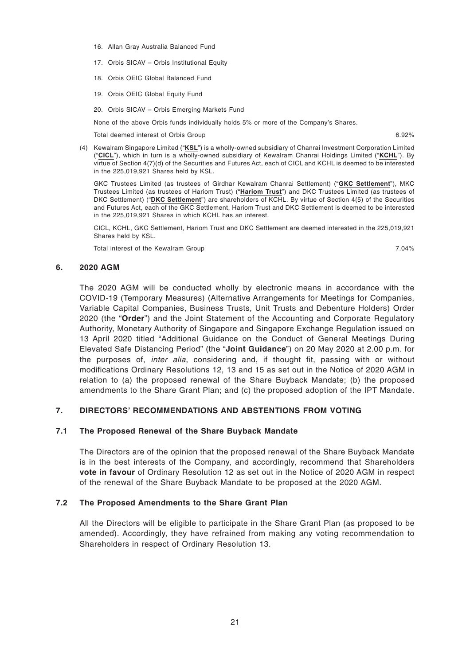- 16. Allan Gray Australia Balanced Fund
- 17. Orbis SICAV Orbis Institutional Equity
- 18. Orbis OEIC Global Balanced Fund
- 19. Orbis OEIC Global Equity Fund
- 20. Orbis SICAV Orbis Emerging Markets Fund

None of the above Orbis funds individually holds 5% or more of the Company's Shares.

Total deemed interest of Orbis Group 6.92%

(4) Kewalram Singapore Limited ("**KSL**") is a wholly-owned subsidiary of Chanrai Investment Corporation Limited ("**CICL**"), which in turn is a wholly-owned subsidiary of Kewalram Chanrai Holdings Limited ("**KCHL**"). By virtue of Section 4(7)(d) of the Securities and Futures Act, each of CICL and KCHL is deemed to be interested in the 225,019,921 Shares held by KSL.

GKC Trustees Limited (as trustees of Girdhar Kewalram Chanrai Settlement) ("**GKC Settlement**"), MKC Trustees Limited (as trustees of Hariom Trust) ("**Hariom Trust**") and DKC Trustees Limited (as trustees of DKC Settlement) ("**DKC Settlement**") are shareholders of KCHL. By virtue of Section 4(5) of the Securities and Futures Act, each of the GKC Settlement, Hariom Trust and DKC Settlement is deemed to be interested in the 225,019,921 Shares in which KCHL has an interest.

CICL, KCHL, GKC Settlement, Hariom Trust and DKC Settlement are deemed interested in the 225,019,921 Shares held by KSL.

Total interest of the Kewalram Group 7.04%

#### **6. 2020 AGM**

The 2020 AGM will be conducted wholly by electronic means in accordance with the COVID-19 (Temporary Measures) (Alternative Arrangements for Meetings for Companies, Variable Capital Companies, Business Trusts, Unit Trusts and Debenture Holders) Order 2020 (the "**Order**") and the Joint Statement of the Accounting and Corporate Regulatory Authority, Monetary Authority of Singapore and Singapore Exchange Regulation issued on 13 April 2020 titled "Additional Guidance on the Conduct of General Meetings During Elevated Safe Distancing Period" (the "**Joint Guidance**") on 20 May 2020 at 2.00 p.m. for the purposes of, inter alia, considering and, if thought fit, passing with or without modifications Ordinary Resolutions 12, 13 and 15 as set out in the Notice of 2020 AGM in relation to (a) the proposed renewal of the Share Buyback Mandate; (b) the proposed amendments to the Share Grant Plan; and (c) the proposed adoption of the IPT Mandate.

#### **7. DIRECTORS' RECOMMENDATIONS AND ABSTENTIONS FROM VOTING**

#### **7.1 The Proposed Renewal of the Share Buyback Mandate**

The Directors are of the opinion that the proposed renewal of the Share Buyback Mandate is in the best interests of the Company, and accordingly, recommend that Shareholders **vote in favour** of Ordinary Resolution 12 as set out in the Notice of 2020 AGM in respect of the renewal of the Share Buyback Mandate to be proposed at the 2020 AGM.

#### **7.2 The Proposed Amendments to the Share Grant Plan**

All the Directors will be eligible to participate in the Share Grant Plan (as proposed to be amended). Accordingly, they have refrained from making any voting recommendation to Shareholders in respect of Ordinary Resolution 13.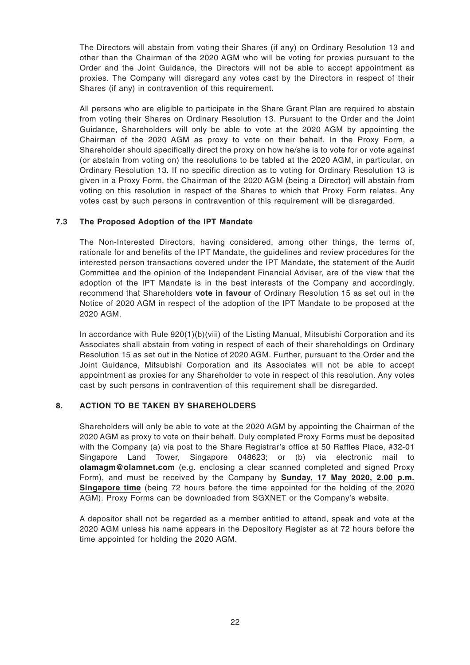The Directors will abstain from voting their Shares (if any) on Ordinary Resolution 13 and other than the Chairman of the 2020 AGM who will be voting for proxies pursuant to the Order and the Joint Guidance, the Directors will not be able to accept appointment as proxies. The Company will disregard any votes cast by the Directors in respect of their Shares (if any) in contravention of this requirement.

All persons who are eligible to participate in the Share Grant Plan are required to abstain from voting their Shares on Ordinary Resolution 13. Pursuant to the Order and the Joint Guidance, Shareholders will only be able to vote at the 2020 AGM by appointing the Chairman of the 2020 AGM as proxy to vote on their behalf. In the Proxy Form, a Shareholder should specifically direct the proxy on how he/she is to vote for or vote against (or abstain from voting on) the resolutions to be tabled at the 2020 AGM, in particular, on Ordinary Resolution 13. If no specific direction as to voting for Ordinary Resolution 13 is given in a Proxy Form, the Chairman of the 2020 AGM (being a Director) will abstain from voting on this resolution in respect of the Shares to which that Proxy Form relates. Any votes cast by such persons in contravention of this requirement will be disregarded.

# **7.3 The Proposed Adoption of the IPT Mandate**

The Non-Interested Directors, having considered, among other things, the terms of, rationale for and benefits of the IPT Mandate, the guidelines and review procedures for the interested person transactions covered under the IPT Mandate, the statement of the Audit Committee and the opinion of the Independent Financial Adviser, are of the view that the adoption of the IPT Mandate is in the best interests of the Company and accordingly, recommend that Shareholders **vote in favour** of Ordinary Resolution 15 as set out in the Notice of 2020 AGM in respect of the adoption of the IPT Mandate to be proposed at the 2020 AGM.

In accordance with Rule 920(1)(b)(viii) of the Listing Manual, Mitsubishi Corporation and its Associates shall abstain from voting in respect of each of their shareholdings on Ordinary Resolution 15 as set out in the Notice of 2020 AGM. Further, pursuant to the Order and the Joint Guidance, Mitsubishi Corporation and its Associates will not be able to accept appointment as proxies for any Shareholder to vote in respect of this resolution. Any votes cast by such persons in contravention of this requirement shall be disregarded.

# **8. ACTION TO BE TAKEN BY SHAREHOLDERS**

Shareholders will only be able to vote at the 2020 AGM by appointing the Chairman of the 2020 AGM as proxy to vote on their behalf. Duly completed Proxy Forms must be deposited with the Company (a) via post to the Share Registrar's office at 50 Raffles Place, #32-01 Singapore Land Tower, Singapore 048623; or (b) via electronic mail to **olamagm@olamnet.com** (e.g. enclosing a clear scanned completed and signed Proxy Form), and must be received by the Company by **Sunday, 17 May 2020, 2.00 p.m. Singapore time** (being 72 hours before the time appointed for the holding of the 2020 AGM). Proxy Forms can be downloaded from SGXNET or the Company's website.

A depositor shall not be regarded as a member entitled to attend, speak and vote at the 2020 AGM unless his name appears in the Depository Register as at 72 hours before the time appointed for holding the 2020 AGM.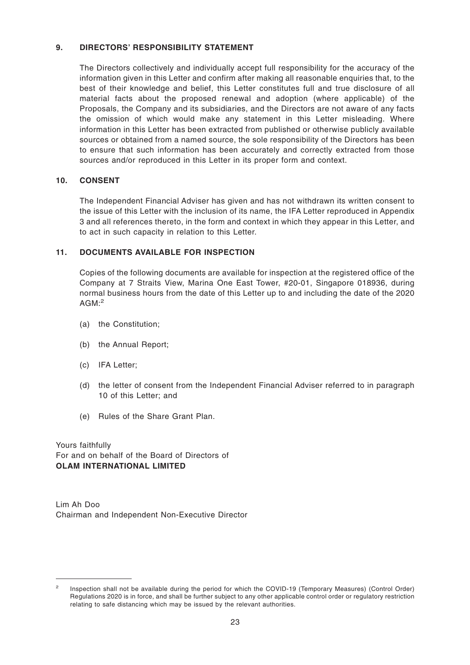#### **9. DIRECTORS' RESPONSIBILITY STATEMENT**

The Directors collectively and individually accept full responsibility for the accuracy of the information given in this Letter and confirm after making all reasonable enquiries that, to the best of their knowledge and belief, this Letter constitutes full and true disclosure of all material facts about the proposed renewal and adoption (where applicable) of the Proposals, the Company and its subsidiaries, and the Directors are not aware of any facts the omission of which would make any statement in this Letter misleading. Where information in this Letter has been extracted from published or otherwise publicly available sources or obtained from a named source, the sole responsibility of the Directors has been to ensure that such information has been accurately and correctly extracted from those sources and/or reproduced in this Letter in its proper form and context.

# **10. CONSENT**

The Independent Financial Adviser has given and has not withdrawn its written consent to the issue of this Letter with the inclusion of its name, the IFA Letter reproduced in Appendix 3 and all references thereto, in the form and context in which they appear in this Letter, and to act in such capacity in relation to this Letter.

# **11. DOCUMENTS AVAILABLE FOR INSPECTION**

Copies of the following documents are available for inspection at the registered office of the Company at 7 Straits View, Marina One East Tower, #20-01, Singapore 018936, during normal business hours from the date of this Letter up to and including the date of the 2020  $AGM$ : $2$ 

- (a) the Constitution;
- (b) the Annual Report;
- (c) IFA Letter;
- (d) the letter of consent from the Independent Financial Adviser referred to in paragraph 10 of this Letter; and
- (e) Rules of the Share Grant Plan.

Yours faithfully For and on behalf of the Board of Directors of **OLAM INTERNATIONAL LIMITED**

Lim Ah Doo Chairman and Independent Non-Executive Director

<sup>2</sup> Inspection shall not be available during the period for which the COVID-19 (Temporary Measures) (Control Order) Regulations 2020 is in force, and shall be further subject to any other applicable control order or regulatory restriction relating to safe distancing which may be issued by the relevant authorities.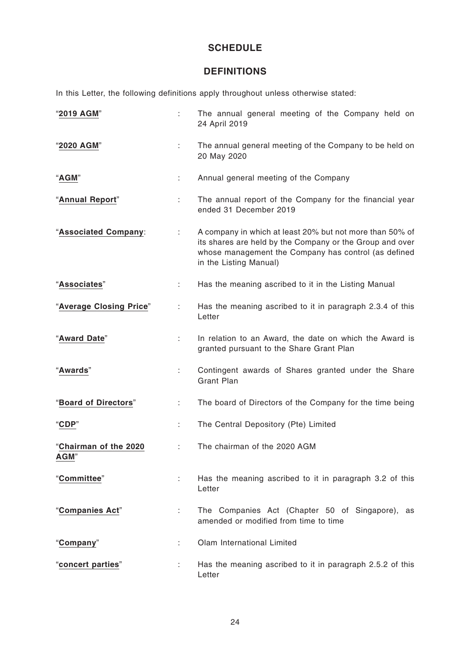# **SCHEDULE**

# **DEFINITIONS**

In this Letter, the following definitions apply throughout unless otherwise stated:

| "2019 AGM"                    | ÷. | The annual general meeting of the Company held on<br>24 April 2019                                                                                                                                     |
|-------------------------------|----|--------------------------------------------------------------------------------------------------------------------------------------------------------------------------------------------------------|
| "2020 AGM"                    |    | The annual general meeting of the Company to be held on<br>20 May 2020                                                                                                                                 |
| "AGM"                         |    | Annual general meeting of the Company                                                                                                                                                                  |
| "Annual Report"               | ÷. | The annual report of the Company for the financial year<br>ended 31 December 2019                                                                                                                      |
| "Associated Company:          | ÷  | A company in which at least 20% but not more than 50% of<br>its shares are held by the Company or the Group and over<br>whose management the Company has control (as defined<br>in the Listing Manual) |
| "Associates"                  | ÷. | Has the meaning ascribed to it in the Listing Manual                                                                                                                                                   |
| "Average Closing Price"       | ÷  | Has the meaning ascribed to it in paragraph 2.3.4 of this<br>Letter                                                                                                                                    |
| "Award Date"                  | ÷. | In relation to an Award, the date on which the Award is<br>granted pursuant to the Share Grant Plan                                                                                                    |
| "Awards"                      | ÷  | Contingent awards of Shares granted under the Share<br><b>Grant Plan</b>                                                                                                                               |
| "Board of Directors"          | ÷. | The board of Directors of the Company for the time being                                                                                                                                               |
| "CDP"                         |    | The Central Depository (Pte) Limited                                                                                                                                                                   |
| "Chairman of the 2020<br>AGM" |    | The chairman of the 2020 AGM                                                                                                                                                                           |
| "Committee"                   | ÷. | Has the meaning ascribed to it in paragraph 3.2 of this<br>Letter                                                                                                                                      |
| "Companies Act"               | ÷. | The Companies Act (Chapter 50 of Singapore), as<br>amended or modified from time to time                                                                                                               |
| "Company"                     |    | Olam International Limited                                                                                                                                                                             |
| "concert parties"             | t. | Has the meaning ascribed to it in paragraph 2.5.2 of this<br>Letter                                                                                                                                    |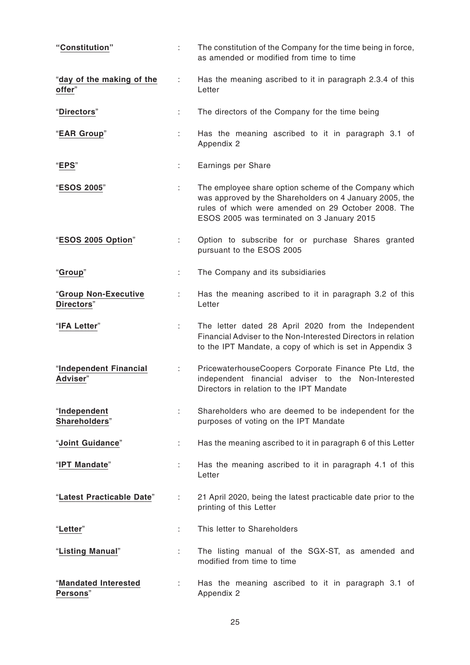| "Constitution"                      | ÷. | The constitution of the Company for the time being in force,<br>as amended or modified from time to time                                                                                                              |
|-------------------------------------|----|-----------------------------------------------------------------------------------------------------------------------------------------------------------------------------------------------------------------------|
| "day of the making of the<br>offer" | ÷  | Has the meaning ascribed to it in paragraph 2.3.4 of this<br>Letter                                                                                                                                                   |
| "Directors"                         | ÷  | The directors of the Company for the time being                                                                                                                                                                       |
| "EAR Group"                         | ÷  | Has the meaning ascribed to it in paragraph 3.1 of<br>Appendix 2                                                                                                                                                      |
| "EPS"                               | t. | Earnings per Share                                                                                                                                                                                                    |
| "ESOS 2005"                         | ÷  | The employee share option scheme of the Company which<br>was approved by the Shareholders on 4 January 2005, the<br>rules of which were amended on 29 October 2008. The<br>ESOS 2005 was terminated on 3 January 2015 |
| "ESOS 2005 Option"                  | ÷. | Option to subscribe for or purchase Shares granted<br>pursuant to the ESOS 2005                                                                                                                                       |
| "Group"                             | ÷. | The Company and its subsidiaries                                                                                                                                                                                      |
| "Group Non-Executive<br>Directors"  |    | Has the meaning ascribed to it in paragraph 3.2 of this<br>Letter                                                                                                                                                     |
| "IFA Letter"                        | ÷. | The letter dated 28 April 2020 from the Independent<br>Financial Adviser to the Non-Interested Directors in relation<br>to the IPT Mandate, a copy of which is set in Appendix 3                                      |
| "Independent Financial<br>Adviser"  | ÷  | PricewaterhouseCoopers Corporate Finance Pte Ltd, the<br>independent financial adviser to the Non-Interested<br>Directors in relation to the IPT Mandate                                                              |
| "Independent<br>Shareholders"       | ÷  | Shareholders who are deemed to be independent for the<br>purposes of voting on the IPT Mandate                                                                                                                        |
| "Joint Guidance"                    | ÷  | Has the meaning ascribed to it in paragraph 6 of this Letter                                                                                                                                                          |
| "IPT Mandate"                       | ÷  | Has the meaning ascribed to it in paragraph 4.1 of this<br>Letter                                                                                                                                                     |
| "Latest Practicable Date"           | ÷  | 21 April 2020, being the latest practicable date prior to the<br>printing of this Letter                                                                                                                              |
| "Letter"                            | ÷  | This letter to Shareholders                                                                                                                                                                                           |
| "Listing Manual"                    | ÷  | The listing manual of the SGX-ST, as amended and<br>modified from time to time                                                                                                                                        |
| "Mandated Interested<br>Persons"    |    | Has the meaning ascribed to it in paragraph 3.1 of<br>Appendix 2                                                                                                                                                      |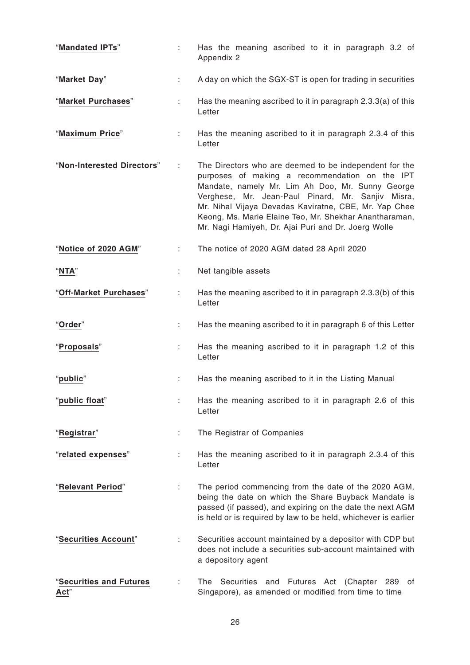| "Mandated IPTs"                 | t. | Has the meaning ascribed to it in paragraph 3.2 of<br>Appendix 2                                                                                                                                                                                                                                                                                                                            |
|---------------------------------|----|---------------------------------------------------------------------------------------------------------------------------------------------------------------------------------------------------------------------------------------------------------------------------------------------------------------------------------------------------------------------------------------------|
| "Market Day"                    | ÷  | A day on which the SGX-ST is open for trading in securities                                                                                                                                                                                                                                                                                                                                 |
| "Market Purchases"              | ÷  | Has the meaning ascribed to it in paragraph 2.3.3(a) of this<br>Letter                                                                                                                                                                                                                                                                                                                      |
| "Maximum Price"                 | ÷  | Has the meaning ascribed to it in paragraph 2.3.4 of this<br>Letter                                                                                                                                                                                                                                                                                                                         |
| "Non-Interested Directors"      | ÷  | The Directors who are deemed to be independent for the<br>purposes of making a recommendation on the IPT<br>Mandate, namely Mr. Lim Ah Doo, Mr. Sunny George<br>Verghese, Mr. Jean-Paul Pinard, Mr. Sanjiv Misra,<br>Mr. Nihal Vijaya Devadas Kaviratne, CBE, Mr. Yap Chee<br>Keong, Ms. Marie Elaine Teo, Mr. Shekhar Anantharaman,<br>Mr. Nagi Hamiyeh, Dr. Ajai Puri and Dr. Joerg Wolle |
| "Notice of 2020 AGM"            | ÷  | The notice of 2020 AGM dated 28 April 2020                                                                                                                                                                                                                                                                                                                                                  |
| "NTA"                           |    | Net tangible assets                                                                                                                                                                                                                                                                                                                                                                         |
| "Off-Market Purchases"          |    | Has the meaning ascribed to it in paragraph 2.3.3(b) of this<br>Letter                                                                                                                                                                                                                                                                                                                      |
| "Order"                         | ÷. | Has the meaning ascribed to it in paragraph 6 of this Letter                                                                                                                                                                                                                                                                                                                                |
| "Proposals"                     | ÷  | Has the meaning ascribed to it in paragraph 1.2 of this<br>Letter                                                                                                                                                                                                                                                                                                                           |
| "public"                        | ÷  | Has the meaning ascribed to it in the Listing Manual                                                                                                                                                                                                                                                                                                                                        |
| "public float"                  | ÷  | Has the meaning ascribed to it in paragraph 2.6 of this<br>Letter                                                                                                                                                                                                                                                                                                                           |
| "Registrar"                     | ÷  | The Registrar of Companies                                                                                                                                                                                                                                                                                                                                                                  |
| "related expenses"              | ÷  | Has the meaning ascribed to it in paragraph 2.3.4 of this<br>Letter                                                                                                                                                                                                                                                                                                                         |
| "Relevant Period"               |    | The period commencing from the date of the 2020 AGM,<br>being the date on which the Share Buyback Mandate is<br>passed (if passed), and expiring on the date the next AGM<br>is held or is required by law to be held, whichever is earlier                                                                                                                                                 |
| "Securities Account"            |    | Securities account maintained by a depositor with CDP but<br>does not include a securities sub-account maintained with<br>a depository agent                                                                                                                                                                                                                                                |
| "Securities and Futures<br>Act" |    | Securities and Futures Act (Chapter 289<br>The<br>of<br>Singapore), as amended or modified from time to time                                                                                                                                                                                                                                                                                |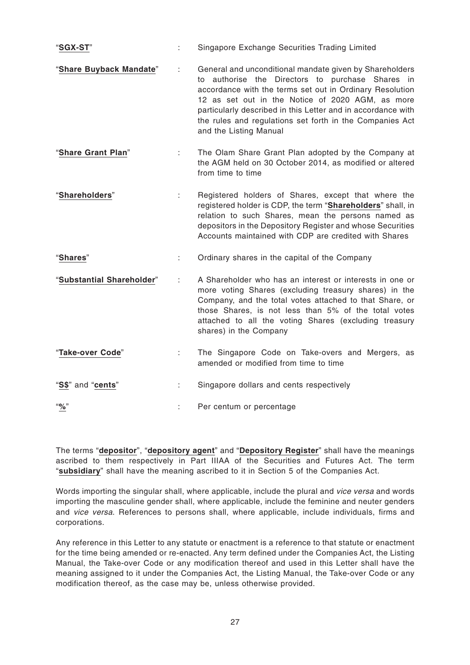| "SGX-ST"                  | ÷  | Singapore Exchange Securities Trading Limited                                                                                                                                                                                                                                                                                                                                     |
|---------------------------|----|-----------------------------------------------------------------------------------------------------------------------------------------------------------------------------------------------------------------------------------------------------------------------------------------------------------------------------------------------------------------------------------|
| "Share Buyback Mandate"   | ÷  | General and unconditional mandate given by Shareholders<br>to authorise the Directors to purchase Shares in<br>accordance with the terms set out in Ordinary Resolution<br>12 as set out in the Notice of 2020 AGM, as more<br>particularly described in this Letter and in accordance with<br>the rules and regulations set forth in the Companies Act<br>and the Listing Manual |
| "Share Grant Plan"        | ÷. | The Olam Share Grant Plan adopted by the Company at<br>the AGM held on 30 October 2014, as modified or altered<br>from time to time                                                                                                                                                                                                                                               |
| "Shareholders"            | ÷  | Registered holders of Shares, except that where the<br>registered holder is CDP, the term "Shareholders" shall, in<br>relation to such Shares, mean the persons named as<br>depositors in the Depository Register and whose Securities<br>Accounts maintained with CDP are credited with Shares                                                                                   |
| "Shares"                  | ÷  | Ordinary shares in the capital of the Company                                                                                                                                                                                                                                                                                                                                     |
| "Substantial Shareholder" | ÷  | A Shareholder who has an interest or interests in one or<br>more voting Shares (excluding treasury shares) in the<br>Company, and the total votes attached to that Share, or<br>those Shares, is not less than 5% of the total votes<br>attached to all the voting Shares (excluding treasury<br>shares) in the Company                                                           |
| "Take-over Code"          | ÷. | The Singapore Code on Take-overs and Mergers, as<br>amended or modified from time to time                                                                                                                                                                                                                                                                                         |
| "S\$" and "cents"         |    | Singapore dollars and cents respectively                                                                                                                                                                                                                                                                                                                                          |
| $``\%"$                   |    | Per centum or percentage                                                                                                                                                                                                                                                                                                                                                          |

The terms "**depositor**", "**depository agent**" and "**Depository Register**" shall have the meanings ascribed to them respectively in Part IIIAA of the Securities and Futures Act. The term "**subsidiary**" shall have the meaning ascribed to it in Section 5 of the Companies Act.

Words importing the singular shall, where applicable, include the plural and vice versa and words importing the masculine gender shall, where applicable, include the feminine and neuter genders and vice versa. References to persons shall, where applicable, include individuals, firms and corporations.

Any reference in this Letter to any statute or enactment is a reference to that statute or enactment for the time being amended or re-enacted. Any term defined under the Companies Act, the Listing Manual, the Take-over Code or any modification thereof and used in this Letter shall have the meaning assigned to it under the Companies Act, the Listing Manual, the Take-over Code or any modification thereof, as the case may be, unless otherwise provided.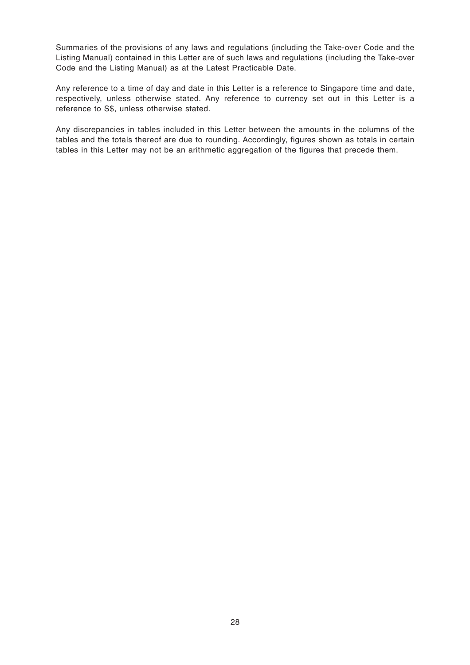Summaries of the provisions of any laws and regulations (including the Take-over Code and the Listing Manual) contained in this Letter are of such laws and regulations (including the Take-over Code and the Listing Manual) as at the Latest Practicable Date.

Any reference to a time of day and date in this Letter is a reference to Singapore time and date, respectively, unless otherwise stated. Any reference to currency set out in this Letter is a reference to S\$, unless otherwise stated.

Any discrepancies in tables included in this Letter between the amounts in the columns of the tables and the totals thereof are due to rounding. Accordingly, figures shown as totals in certain tables in this Letter may not be an arithmetic aggregation of the figures that precede them.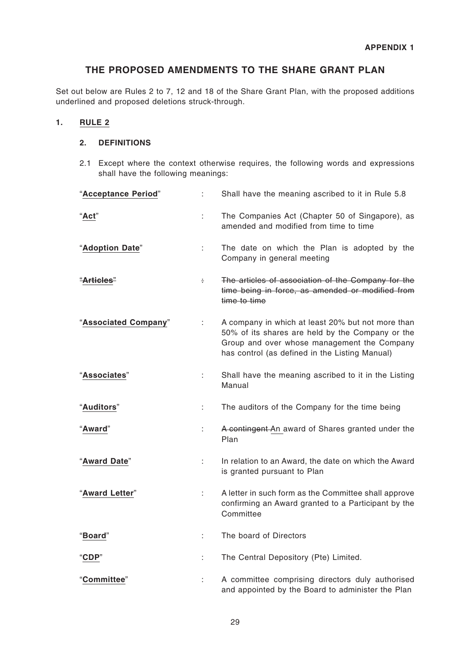# **THE PROPOSED AMENDMENTS TO THE SHARE GRANT PLAN**

Set out below are Rules 2 to 7, 12 and 18 of the Share Grant Plan, with the proposed additions underlined and proposed deletions struck-through.

### **1. RULE 2**

# **2. DEFINITIONS**

2.1 Except where the context otherwise requires, the following words and expressions shall have the following meanings:

| "Acceptance Period"   |    | Shall have the meaning ascribed to it in Rule 5.8                                                                                                                                                      |
|-----------------------|----|--------------------------------------------------------------------------------------------------------------------------------------------------------------------------------------------------------|
| "Act"                 |    | The Companies Act (Chapter 50 of Singapore), as<br>amended and modified from time to time                                                                                                              |
| "Adoption Date"       |    | The date on which the Plan is adopted by the<br>Company in general meeting                                                                                                                             |
| <del>"Articles"</del> | ÷  | The articles of association of the Company for the<br>time being in force, as amended or modified from<br>time to time                                                                                 |
| "Associated Company"  | t. | A company in which at least 20% but not more than<br>50% of its shares are held by the Company or the<br>Group and over whose management the Company<br>has control (as defined in the Listing Manual) |
| "Associates"          | t. | Shall have the meaning ascribed to it in the Listing<br>Manual                                                                                                                                         |
| "Auditors"            | t. | The auditors of the Company for the time being                                                                                                                                                         |
| "Award"               | ÷  | A contingent An award of Shares granted under the<br>Plan                                                                                                                                              |
| "Award Date"          | ÷. | In relation to an Award, the date on which the Award<br>is granted pursuant to Plan                                                                                                                    |
| "Award Letter"        | ÷. | A letter in such form as the Committee shall approve<br>confirming an Award granted to a Participant by the<br>Committee                                                                               |
| "Board"               |    | The board of Directors                                                                                                                                                                                 |
| <b>'CDP"</b>          | t. | The Central Depository (Pte) Limited.                                                                                                                                                                  |
| 'Committee"           |    | A committee comprising directors duly authorised<br>and appointed by the Board to administer the Plan                                                                                                  |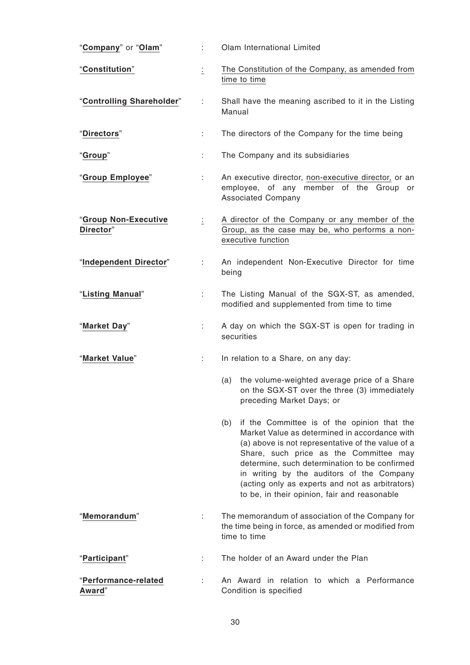| "Company" or "Olam"               | ÷  | Olam International Limited                                                                                                                                                                                                                                                                                                                                                                          |
|-----------------------------------|----|-----------------------------------------------------------------------------------------------------------------------------------------------------------------------------------------------------------------------------------------------------------------------------------------------------------------------------------------------------------------------------------------------------|
| "Constitution"                    | İ. | The Constitution of the Company, as amended from<br>time to time                                                                                                                                                                                                                                                                                                                                    |
| "Controlling Shareholder"         | ÷  | Shall have the meaning ascribed to it in the Listing<br>Manual                                                                                                                                                                                                                                                                                                                                      |
| "Directors"                       | ÷  | The directors of the Company for the time being                                                                                                                                                                                                                                                                                                                                                     |
| "Group"                           | ÷  | The Company and its subsidiaries                                                                                                                                                                                                                                                                                                                                                                    |
| "Group Employee"                  | ÷. | An executive director, non-executive director, or an<br>employee, of any member of the Group or<br><b>Associated Company</b>                                                                                                                                                                                                                                                                        |
| "Group Non-Executive<br>Director" | İ. | A director of the Company or any member of the<br>Group, as the case may be, who performs a non-<br>executive function                                                                                                                                                                                                                                                                              |
| "Independent Director"            | ÷. | An independent Non-Executive Director for time<br>being                                                                                                                                                                                                                                                                                                                                             |
| "Listing Manual"                  | ÷. | The Listing Manual of the SGX-ST, as amended,<br>modified and supplemented from time to time                                                                                                                                                                                                                                                                                                        |
| "Market Day"                      | ÷. | A day on which the SGX-ST is open for trading in<br>securities                                                                                                                                                                                                                                                                                                                                      |
| "Market Value"                    |    | In relation to a Share, on any day:                                                                                                                                                                                                                                                                                                                                                                 |
|                                   |    | the volume-weighted average price of a Share<br>(a)<br>on the SGX-ST over the three (3) immediately<br>preceding Market Days; or                                                                                                                                                                                                                                                                    |
|                                   |    | if the Committee is of the opinion that the<br>(b)<br>Market Value as determined in accordance with<br>(a) above is not representative of the value of a<br>Share, such price as the Committee may<br>determine, such determination to be confirmed<br>in writing by the auditors of the Company<br>(acting only as experts and not as arbitrators)<br>to be, in their opinion, fair and reasonable |
| "Memorandum"                      | ÷  | The memorandum of association of the Company for<br>the time being in force, as amended or modified from<br>time to time                                                                                                                                                                                                                                                                            |
| "Participant"                     | ÷  | The holder of an Award under the Plan                                                                                                                                                                                                                                                                                                                                                               |
| "Performance-related<br>Award"    |    | An Award in relation to which a Performance<br>Condition is specified                                                                                                                                                                                                                                                                                                                               |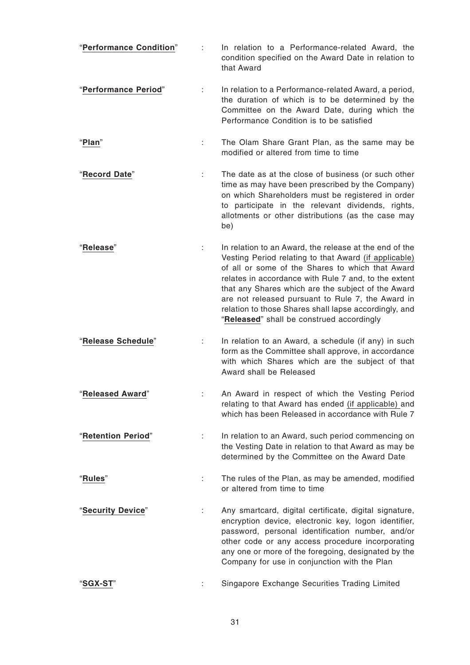- "**Performance Condition**" : In relation to a Performance-related Award, the condition specified on the Award Date in relation to that Award
- "**Performance Period**" : In relation to a Performance-related Award, a period, the duration of which is to be determined by the Committee on the Award Date, during which the Performance Condition is to be satisfied
- "**Plan**" : The Olam Share Grant Plan, as the same may be modified or altered from time to time
- "**Record Date**" : The date as at the close of business (or such other time as may have been prescribed by the Company) on which Shareholders must be registered in order to participate in the relevant dividends, rights, allotments or other distributions (as the case may be)
- "**Release**" : In relation to an Award, the release at the end of the Vesting Period relating to that Award (if applicable) of all or some of the Shares to which that Award relates in accordance with Rule 7 and, to the extent that any Shares which are the subject of the Award are not released pursuant to Rule 7, the Award in relation to those Shares shall lapse accordingly, and "**Released**" shall be construed accordingly
- "**Release Schedule**" : In relation to an Award, a schedule (if any) in such form as the Committee shall approve, in accordance with which Shares which are the subject of that Award shall be Released
- "**Released Award**" : An Award in respect of which the Vesting Period relating to that Award has ended (if applicable) and which has been Released in accordance with Rule 7
- "**Retention Period**" : In relation to an Award, such period commencing on the Vesting Date in relation to that Award as may be determined by the Committee on the Award Date
- "**Rules**" : The rules of the Plan, as may be amended, modified or altered from time to time
- "**Security Device**" : Any smartcard, digital certificate, digital signature, encryption device, electronic key, logon identifier, password, personal identification number, and/or other code or any access procedure incorporating any one or more of the foregoing, designated by the Company for use in conjunction with the Plan
- "**SGX-ST**" : Singapore Exchange Securities Trading Limited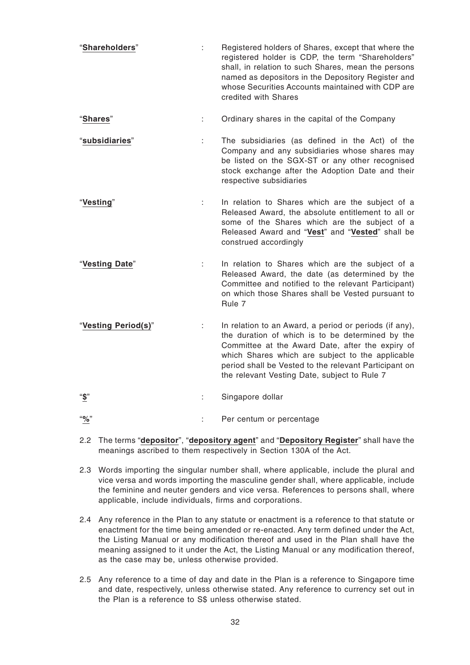- "**Shareholders**" : Registered holders of Shares, except that where the registered holder is CDP, the term "Shareholders" shall, in relation to such Shares, mean the persons named as depositors in the Depository Register and whose Securities Accounts maintained with CDP are credited with Shares
- "**Shares**" : Ordinary shares in the capital of the Company
- "**subsidiaries**" : The subsidiaries (as defined in the Act) of the Company and any subsidiaries whose shares may be listed on the SGX-ST or any other recognised stock exchange after the Adoption Date and their respective subsidiaries
- "**Vesting**" : In relation to Shares which are the subject of a Released Award, the absolute entitlement to all or some of the Shares which are the subject of a Released Award and "**Vest**" and "**Vested**" shall be construed accordingly
- "**Vesting Date**" : In relation to Shares which are the subject of a Released Award, the date (as determined by the Committee and notified to the relevant Participant) on which those Shares shall be Vested pursuant to Rule 7
- "**Vesting Period(s)**" : In relation to an Award, a period or periods (if any), the duration of which is to be determined by the Committee at the Award Date, after the expiry of which Shares which are subject to the applicable period shall be Vested to the relevant Participant on the relevant Vesting Date, subject to Rule 7
- "**\$**" : Singapore dollar
- "**%**" : Per centum or percentage
- 2.2 The terms "**depositor**", "**depository agent**" and "**Depository Register**" shall have the meanings ascribed to them respectively in Section 130A of the Act.
- 2.3 Words importing the singular number shall, where applicable, include the plural and vice versa and words importing the masculine gender shall, where applicable, include the feminine and neuter genders and vice versa. References to persons shall, where applicable, include individuals, firms and corporations.
- 2.4 Any reference in the Plan to any statute or enactment is a reference to that statute or enactment for the time being amended or re-enacted. Any term defined under the Act, the Listing Manual or any modification thereof and used in the Plan shall have the meaning assigned to it under the Act, the Listing Manual or any modification thereof, as the case may be, unless otherwise provided.
- 2.5 Any reference to a time of day and date in the Plan is a reference to Singapore time and date, respectively, unless otherwise stated. Any reference to currency set out in the Plan is a reference to S\$ unless otherwise stated.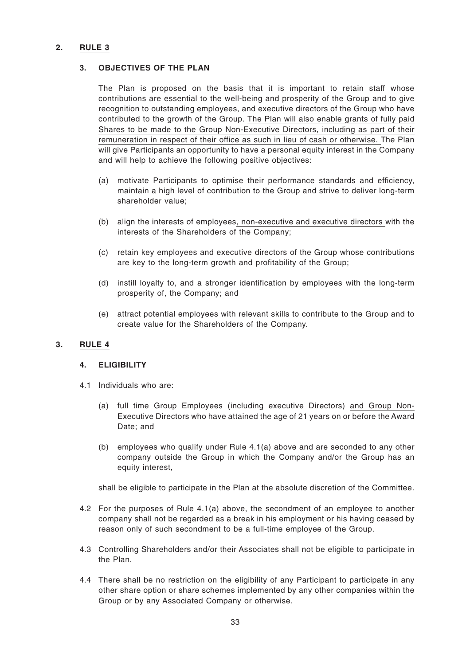# **2. RULE 3**

#### **3. OBJECTIVES OF THE PLAN**

The Plan is proposed on the basis that it is important to retain staff whose contributions are essential to the well-being and prosperity of the Group and to give recognition to outstanding employees, and executive directors of the Group who have contributed to the growth of the Group. The Plan will also enable grants of fully paid Shares to be made to the Group Non-Executive Directors, including as part of their remuneration in respect of their office as such in lieu of cash or otherwise. The Plan will give Participants an opportunity to have a personal equity interest in the Company and will help to achieve the following positive objectives:

- (a) motivate Participants to optimise their performance standards and efficiency, maintain a high level of contribution to the Group and strive to deliver long-term shareholder value;
- (b) align the interests of employees, non-executive and executive directors with the interests of the Shareholders of the Company;
- (c) retain key employees and executive directors of the Group whose contributions are key to the long-term growth and profitability of the Group;
- (d) instill loyalty to, and a stronger identification by employees with the long-term prosperity of, the Company; and
- (e) attract potential employees with relevant skills to contribute to the Group and to create value for the Shareholders of the Company.

# **3. RULE 4**

#### **4. ELIGIBILITY**

- 4.1 Individuals who are:
	- (a) full time Group Employees (including executive Directors) and Group Non-Executive Directors who have attained the age of 21 years on or before the Award Date; and
	- (b) employees who qualify under Rule 4.1(a) above and are seconded to any other company outside the Group in which the Company and/or the Group has an equity interest,

shall be eligible to participate in the Plan at the absolute discretion of the Committee.

- 4.2 For the purposes of Rule 4.1(a) above, the secondment of an employee to another company shall not be regarded as a break in his employment or his having ceased by reason only of such secondment to be a full-time employee of the Group.
- 4.3 Controlling Shareholders and/or their Associates shall not be eligible to participate in the Plan.
- 4.4 There shall be no restriction on the eligibility of any Participant to participate in any other share option or share schemes implemented by any other companies within the Group or by any Associated Company or otherwise.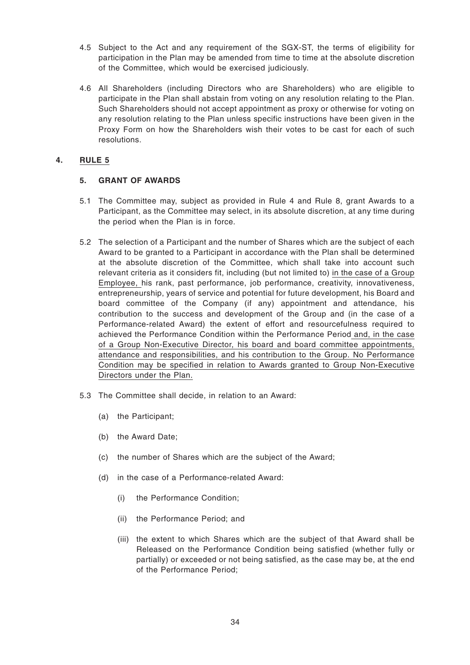- 4.5 Subject to the Act and any requirement of the SGX-ST, the terms of eligibility for participation in the Plan may be amended from time to time at the absolute discretion of the Committee, which would be exercised judiciously.
- 4.6 All Shareholders (including Directors who are Shareholders) who are eligible to participate in the Plan shall abstain from voting on any resolution relating to the Plan. Such Shareholders should not accept appointment as proxy or otherwise for voting on any resolution relating to the Plan unless specific instructions have been given in the Proxy Form on how the Shareholders wish their votes to be cast for each of such resolutions.

# **4. RULE 5**

# **5. GRANT OF AWARDS**

- 5.1 The Committee may, subject as provided in Rule 4 and Rule 8, grant Awards to a Participant, as the Committee may select, in its absolute discretion, at any time during the period when the Plan is in force.
- 5.2 The selection of a Participant and the number of Shares which are the subject of each Award to be granted to a Participant in accordance with the Plan shall be determined at the absolute discretion of the Committee, which shall take into account such relevant criteria as it considers fit, including (but not limited to) in the case of a Group Employee, his rank, past performance, job performance, creativity, innovativeness, entrepreneurship, years of service and potential for future development, his Board and board committee of the Company (if any) appointment and attendance, his contribution to the success and development of the Group and (in the case of a Performance-related Award) the extent of effort and resourcefulness required to achieved the Performance Condition within the Performance Period and, in the case of a Group Non-Executive Director, his board and board committee appointments, attendance and responsibilities, and his contribution to the Group. No Performance Condition may be specified in relation to Awards granted to Group Non-Executive Directors under the Plan.
- 5.3 The Committee shall decide, in relation to an Award:
	- (a) the Participant;
	- (b) the Award Date;
	- (c) the number of Shares which are the subject of the Award;
	- (d) in the case of a Performance-related Award:
		- (i) the Performance Condition;
		- (ii) the Performance Period; and
		- (iii) the extent to which Shares which are the subject of that Award shall be Released on the Performance Condition being satisfied (whether fully or partially) or exceeded or not being satisfied, as the case may be, at the end of the Performance Period;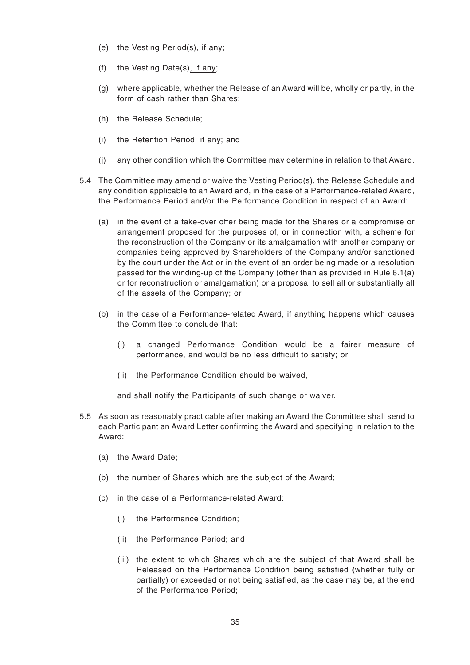- (e) the Vesting Period(s), if any;
- (f) the Vesting Date(s), if any;
- (g) where applicable, whether the Release of an Award will be, wholly or partly, in the form of cash rather than Shares;
- (h) the Release Schedule;
- (i) the Retention Period, if any; and
- (j) any other condition which the Committee may determine in relation to that Award.
- 5.4 The Committee may amend or waive the Vesting Period(s), the Release Schedule and any condition applicable to an Award and, in the case of a Performance-related Award, the Performance Period and/or the Performance Condition in respect of an Award:
	- (a) in the event of a take-over offer being made for the Shares or a compromise or arrangement proposed for the purposes of, or in connection with, a scheme for the reconstruction of the Company or its amalgamation with another company or companies being approved by Shareholders of the Company and/or sanctioned by the court under the Act or in the event of an order being made or a resolution passed for the winding-up of the Company (other than as provided in Rule 6.1(a) or for reconstruction or amalgamation) or a proposal to sell all or substantially all of the assets of the Company; or
	- (b) in the case of a Performance-related Award, if anything happens which causes the Committee to conclude that:
		- (i) a changed Performance Condition would be a fairer measure of performance, and would be no less difficult to satisfy; or
		- (ii) the Performance Condition should be waived,

and shall notify the Participants of such change or waiver.

- 5.5 As soon as reasonably practicable after making an Award the Committee shall send to each Participant an Award Letter confirming the Award and specifying in relation to the Award:
	- (a) the Award Date;
	- (b) the number of Shares which are the subject of the Award;
	- (c) in the case of a Performance-related Award:
		- (i) the Performance Condition;
		- (ii) the Performance Period; and
		- (iii) the extent to which Shares which are the subject of that Award shall be Released on the Performance Condition being satisfied (whether fully or partially) or exceeded or not being satisfied, as the case may be, at the end of the Performance Period;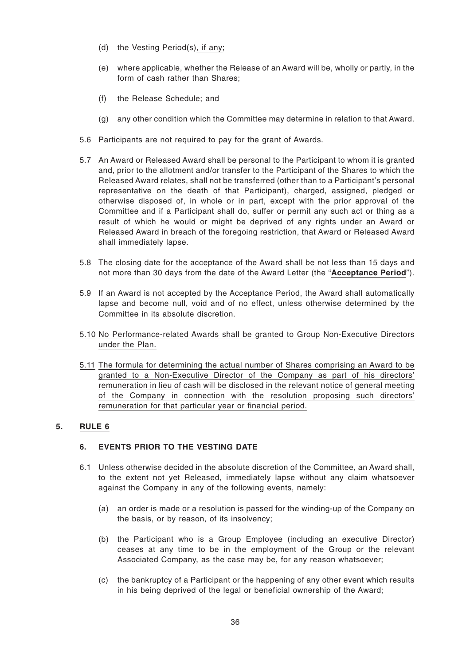- (d) the Vesting Period(s), if any;
- (e) where applicable, whether the Release of an Award will be, wholly or partly, in the form of cash rather than Shares;
- (f) the Release Schedule; and
- (g) any other condition which the Committee may determine in relation to that Award.
- 5.6 Participants are not required to pay for the grant of Awards.
- 5.7 An Award or Released Award shall be personal to the Participant to whom it is granted and, prior to the allotment and/or transfer to the Participant of the Shares to which the Released Award relates, shall not be transferred (other than to a Participant's personal representative on the death of that Participant), charged, assigned, pledged or otherwise disposed of, in whole or in part, except with the prior approval of the Committee and if a Participant shall do, suffer or permit any such act or thing as a result of which he would or might be deprived of any rights under an Award or Released Award in breach of the foregoing restriction, that Award or Released Award shall immediately lapse.
- 5.8 The closing date for the acceptance of the Award shall be not less than 15 days and not more than 30 days from the date of the Award Letter (the "**Acceptance Period**").
- 5.9 If an Award is not accepted by the Acceptance Period, the Award shall automatically lapse and become null, void and of no effect, unless otherwise determined by the Committee in its absolute discretion.
- 5.10 No Performance-related Awards shall be granted to Group Non-Executive Directors under the Plan.
- 5.11 The formula for determining the actual number of Shares comprising an Award to be granted to a Non-Executive Director of the Company as part of his directors' remuneration in lieu of cash will be disclosed in the relevant notice of general meeting of the Company in connection with the resolution proposing such directors' remuneration for that particular year or financial period.

# **5. RULE 6**

# **6. EVENTS PRIOR TO THE VESTING DATE**

- 6.1 Unless otherwise decided in the absolute discretion of the Committee, an Award shall, to the extent not yet Released, immediately lapse without any claim whatsoever against the Company in any of the following events, namely:
	- (a) an order is made or a resolution is passed for the winding-up of the Company on the basis, or by reason, of its insolvency;
	- (b) the Participant who is a Group Employee (including an executive Director) ceases at any time to be in the employment of the Group or the relevant Associated Company, as the case may be, for any reason whatsoever;
	- (c) the bankruptcy of a Participant or the happening of any other event which results in his being deprived of the legal or beneficial ownership of the Award;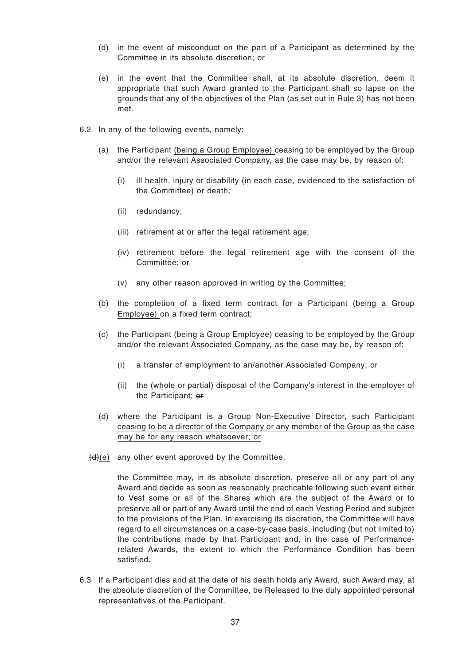- (d) in the event of misconduct on the part of a Participant as determined by the Committee in its absolute discretion; or
- (e) in the event that the Committee shall, at its absolute discretion, deem it appropriate that such Award granted to the Participant shall so lapse on the grounds that any of the objectives of the Plan (as set out in Rule 3) has not been met.
- 6.2 In any of the following events, namely:
	- (a) the Participant (being a Group Employee) ceasing to be employed by the Group and/or the relevant Associated Company, as the case may be, by reason of:
		- (i) ill health, injury or disability (in each case, evidenced to the satisfaction of the Committee) or death;
		- (ii) redundancy;
		- (iii) retirement at or after the legal retirement age;
		- (iv) retirement before the legal retirement age with the consent of the Committee; or
		- (v) any other reason approved in writing by the Committee;
	- (b) the completion of a fixed term contract for a Participant (being a Group Employee) on a fixed term contract;
	- (c) the Participant (being a Group Employee) ceasing to be employed by the Group and/or the relevant Associated Company, as the case may be, by reason of:
		- (i) a transfer of employment to an/another Associated Company; or
		- (ii) the (whole or partial) disposal of the Company's interest in the employer of the Participant; or
	- (d) where the Participant is a Group Non-Executive Director, such Participant ceasing to be a director of the Company or any member of the Group as the case may be for any reason whatsoever; or
	- $(d)(e)$  any other event approved by the Committee,

the Committee may, in its absolute discretion, preserve all or any part of any Award and decide as soon as reasonably practicable following such event either to Vest some or all of the Shares which are the subject of the Award or to preserve all or part of any Award until the end of each Vesting Period and subject to the provisions of the Plan. In exercising its discretion, the Committee will have regard to all circumstances on a case-by-case basis, including (but not limited to) the contributions made by that Participant and, in the case of Performancerelated Awards, the extent to which the Performance Condition has been satisfied.

6.3 If a Participant dies and at the date of his death holds any Award, such Award may, at the absolute discretion of the Committee, be Released to the duly appointed personal representatives of the Participant.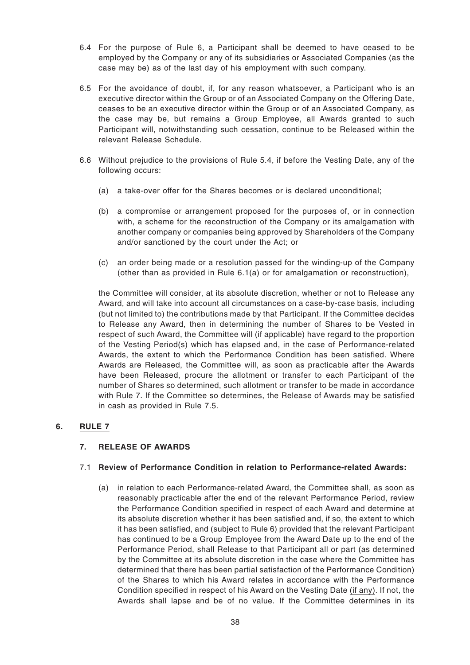- 6.4 For the purpose of Rule 6, a Participant shall be deemed to have ceased to be employed by the Company or any of its subsidiaries or Associated Companies (as the case may be) as of the last day of his employment with such company.
- 6.5 For the avoidance of doubt, if, for any reason whatsoever, a Participant who is an executive director within the Group or of an Associated Company on the Offering Date, ceases to be an executive director within the Group or of an Associated Company, as the case may be, but remains a Group Employee, all Awards granted to such Participant will, notwithstanding such cessation, continue to be Released within the relevant Release Schedule.
- 6.6 Without prejudice to the provisions of Rule 5.4, if before the Vesting Date, any of the following occurs:
	- (a) a take-over offer for the Shares becomes or is declared unconditional;
	- (b) a compromise or arrangement proposed for the purposes of, or in connection with, a scheme for the reconstruction of the Company or its amalgamation with another company or companies being approved by Shareholders of the Company and/or sanctioned by the court under the Act; or
	- (c) an order being made or a resolution passed for the winding-up of the Company (other than as provided in Rule 6.1(a) or for amalgamation or reconstruction),

the Committee will consider, at its absolute discretion, whether or not to Release any Award, and will take into account all circumstances on a case-by-case basis, including (but not limited to) the contributions made by that Participant. If the Committee decides to Release any Award, then in determining the number of Shares to be Vested in respect of such Award, the Committee will (if applicable) have regard to the proportion of the Vesting Period(s) which has elapsed and, in the case of Performance-related Awards, the extent to which the Performance Condition has been satisfied. Where Awards are Released, the Committee will, as soon as practicable after the Awards have been Released, procure the allotment or transfer to each Participant of the number of Shares so determined, such allotment or transfer to be made in accordance with Rule 7. If the Committee so determines, the Release of Awards may be satisfied in cash as provided in Rule 7.5.

#### **6. RULE 7**

# **7. RELEASE OF AWARDS**

#### 7.1 **Review of Performance Condition in relation to Performance-related Awards:**

(a) in relation to each Performance-related Award, the Committee shall, as soon as reasonably practicable after the end of the relevant Performance Period, review the Performance Condition specified in respect of each Award and determine at its absolute discretion whether it has been satisfied and, if so, the extent to which it has been satisfied, and (subject to Rule 6) provided that the relevant Participant has continued to be a Group Employee from the Award Date up to the end of the Performance Period, shall Release to that Participant all or part (as determined by the Committee at its absolute discretion in the case where the Committee has determined that there has been partial satisfaction of the Performance Condition) of the Shares to which his Award relates in accordance with the Performance Condition specified in respect of his Award on the Vesting Date (if any). If not, the Awards shall lapse and be of no value. If the Committee determines in its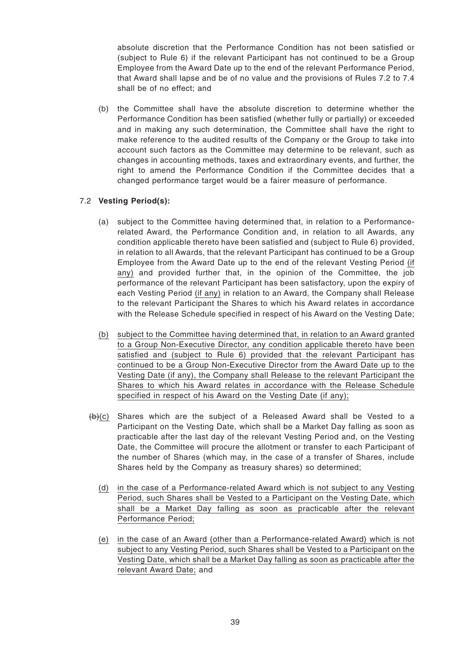absolute discretion that the Performance Condition has not been satisfied or (subject to Rule 6) if the relevant Participant has not continued to be a Group Employee from the Award Date up to the end of the relevant Performance Period, that Award shall lapse and be of no value and the provisions of Rules 7.2 to 7.4 shall be of no effect; and

(b) the Committee shall have the absolute discretion to determine whether the Performance Condition has been satisfied (whether fully or partially) or exceeded and in making any such determination, the Committee shall have the right to make reference to the audited results of the Company or the Group to take into account such factors as the Committee may determine to be relevant, such as changes in accounting methods, taxes and extraordinary events, and further, the right to amend the Performance Condition if the Committee decides that a changed performance target would be a fairer measure of performance.

# 7.2 **Vesting Period(s):**

- (a) subject to the Committee having determined that, in relation to a Performancerelated Award, the Performance Condition and, in relation to all Awards, any condition applicable thereto have been satisfied and (subject to Rule 6) provided, in relation to all Awards, that the relevant Participant has continued to be a Group Employee from the Award Date up to the end of the relevant Vesting Period (if any) and provided further that, in the opinion of the Committee, the job performance of the relevant Participant has been satisfactory, upon the expiry of each Vesting Period (if any) in relation to an Award, the Company shall Release to the relevant Participant the Shares to which his Award relates in accordance with the Release Schedule specified in respect of his Award on the Vesting Date;
- (b) subject to the Committee having determined that, in relation to an Award granted to a Group Non-Executive Director, any condition applicable thereto have been satisfied and (subject to Rule 6) provided that the relevant Participant has continued to be a Group Non-Executive Director from the Award Date up to the Vesting Date (if any), the Company shall Release to the relevant Participant the Shares to which his Award relates in accordance with the Release Schedule specified in respect of his Award on the Vesting Date (if any);
- $(b)(c)$  Shares which are the subject of a Released Award shall be Vested to a Participant on the Vesting Date, which shall be a Market Day falling as soon as practicable after the last day of the relevant Vesting Period and, on the Vesting Date, the Committee will procure the allotment or transfer to each Participant of the number of Shares (which may, in the case of a transfer of Shares, include Shares held by the Company as treasury shares) so determined;
	- (d) in the case of a Performance-related Award which is not subject to any Vesting Period, such Shares shall be Vested to a Participant on the Vesting Date, which shall be a Market Day falling as soon as practicable after the relevant Performance Period;
	- (e) in the case of an Award (other than a Performance-related Award) which is not subject to any Vesting Period, such Shares shall be Vested to a Participant on the Vesting Date, which shall be a Market Day falling as soon as practicable after the relevant Award Date; and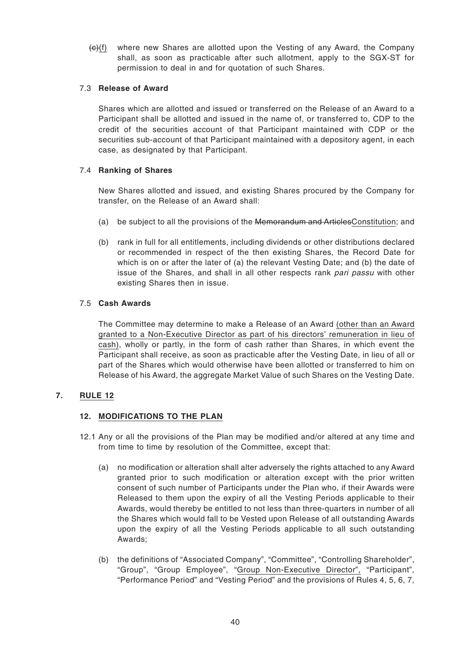(c)(f) where new Shares are allotted upon the Vesting of any Award, the Company shall, as soon as practicable after such allotment, apply to the SGX-ST for permission to deal in and for quotation of such Shares.

#### 7.3 **Release of Award**

Shares which are allotted and issued or transferred on the Release of an Award to a Participant shall be allotted and issued in the name of, or transferred to, CDP to the credit of the securities account of that Participant maintained with CDP or the securities sub-account of that Participant maintained with a depository agent, in each case, as designated by that Participant.

# 7.4 **Ranking of Shares**

New Shares allotted and issued, and existing Shares procured by the Company for transfer, on the Release of an Award shall:

- (a) be subject to all the provisions of the Memorandum and ArticlesConstitution; and
- (b) rank in full for all entitlements, including dividends or other distributions declared or recommended in respect of the then existing Shares, the Record Date for which is on or after the later of (a) the relevant Vesting Date; and (b) the date of issue of the Shares, and shall in all other respects rank pari passu with other existing Shares then in issue.

# 7.5 **Cash Awards**

The Committee may determine to make a Release of an Award (other than an Award granted to a Non-Executive Director as part of his directors' remuneration in lieu of cash), wholly or partly, in the form of cash rather than Shares, in which event the Participant shall receive, as soon as practicable after the Vesting Date, in lieu of all or part of the Shares which would otherwise have been allotted or transferred to him on Release of his Award, the aggregate Market Value of such Shares on the Vesting Date.

# **7. RULE 12**

#### **12. MODIFICATIONS TO THE PLAN**

- 12.1 Any or all the provisions of the Plan may be modified and/or altered at any time and from time to time by resolution of the Committee, except that:
	- (a) no modification or alteration shall alter adversely the rights attached to any Award granted prior to such modification or alteration except with the prior written consent of such number of Participants under the Plan who, if their Awards were Released to them upon the expiry of all the Vesting Periods applicable to their Awards, would thereby be entitled to not less than three-quarters in number of all the Shares which would fall to be Vested upon Release of all outstanding Awards upon the expiry of all the Vesting Periods applicable to all such outstanding Awards;
	- (b) the definitions of "Associated Company", "Committee", "Controlling Shareholder", "Group", "Group Employee", "Group Non-Executive Director", "Participant", "Performance Period" and "Vesting Period" and the provisions of Rules 4, 5, 6, 7,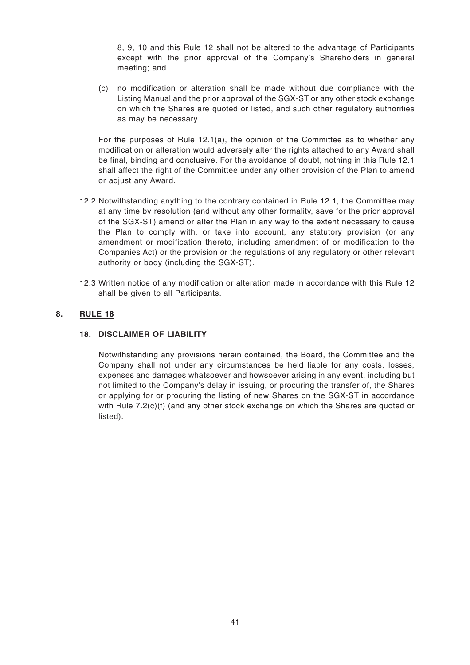8, 9, 10 and this Rule 12 shall not be altered to the advantage of Participants except with the prior approval of the Company's Shareholders in general meeting; and

(c) no modification or alteration shall be made without due compliance with the Listing Manual and the prior approval of the SGX-ST or any other stock exchange on which the Shares are quoted or listed, and such other regulatory authorities as may be necessary.

For the purposes of Rule 12.1(a), the opinion of the Committee as to whether any modification or alteration would adversely alter the rights attached to any Award shall be final, binding and conclusive. For the avoidance of doubt, nothing in this Rule 12.1 shall affect the right of the Committee under any other provision of the Plan to amend or adjust any Award.

- 12.2 Notwithstanding anything to the contrary contained in Rule 12.1, the Committee may at any time by resolution (and without any other formality, save for the prior approval of the SGX-ST) amend or alter the Plan in any way to the extent necessary to cause the Plan to comply with, or take into account, any statutory provision (or any amendment or modification thereto, including amendment of or modification to the Companies Act) or the provision or the regulations of any regulatory or other relevant authority or body (including the SGX-ST).
- 12.3 Written notice of any modification or alteration made in accordance with this Rule 12 shall be given to all Participants.

# **8. RULE 18**

#### **18. DISCLAIMER OF LIABILITY**

Notwithstanding any provisions herein contained, the Board, the Committee and the Company shall not under any circumstances be held liable for any costs, losses, expenses and damages whatsoever and howsoever arising in any event, including but not limited to the Company's delay in issuing, or procuring the transfer of, the Shares or applying for or procuring the listing of new Shares on the SGX-ST in accordance with Rule 7.2(c)(f) (and any other stock exchange on which the Shares are quoted or listed).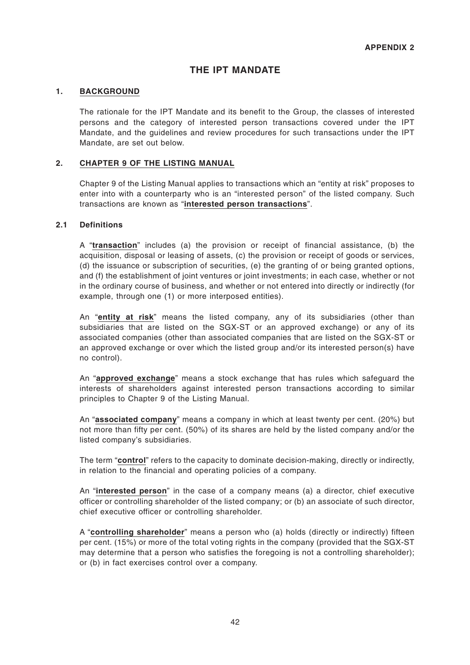# **THE IPT MANDATE**

#### **1. BACKGROUND**

The rationale for the IPT Mandate and its benefit to the Group, the classes of interested persons and the category of interested person transactions covered under the IPT Mandate, and the guidelines and review procedures for such transactions under the IPT Mandate, are set out below.

#### **2. CHAPTER 9 OF THE LISTING MANUAL**

Chapter 9 of the Listing Manual applies to transactions which an "entity at risk" proposes to enter into with a counterparty who is an "interested person" of the listed company. Such transactions are known as "**interested person transactions**".

#### **2.1 Definitions**

A "**transaction**" includes (a) the provision or receipt of financial assistance, (b) the acquisition, disposal or leasing of assets, (c) the provision or receipt of goods or services, (d) the issuance or subscription of securities, (e) the granting of or being granted options, and (f) the establishment of joint ventures or joint investments; in each case, whether or not in the ordinary course of business, and whether or not entered into directly or indirectly (for example, through one (1) or more interposed entities).

An "**entity at risk**" means the listed company, any of its subsidiaries (other than subsidiaries that are listed on the SGX-ST or an approved exchange) or any of its associated companies (other than associated companies that are listed on the SGX-ST or an approved exchange or over which the listed group and/or its interested person(s) have no control).

An "**approved exchange**" means a stock exchange that has rules which safeguard the interests of shareholders against interested person transactions according to similar principles to Chapter 9 of the Listing Manual.

An "**associated company**" means a company in which at least twenty per cent. (20%) but not more than fifty per cent. (50%) of its shares are held by the listed company and/or the listed company's subsidiaries.

The term "**control**" refers to the capacity to dominate decision-making, directly or indirectly, in relation to the financial and operating policies of a company.

An "**interested person**" in the case of a company means (a) a director, chief executive officer or controlling shareholder of the listed company; or (b) an associate of such director, chief executive officer or controlling shareholder.

A "**controlling shareholder**" means a person who (a) holds (directly or indirectly) fifteen per cent. (15%) or more of the total voting rights in the company (provided that the SGX-ST may determine that a person who satisfies the foregoing is not a controlling shareholder); or (b) in fact exercises control over a company.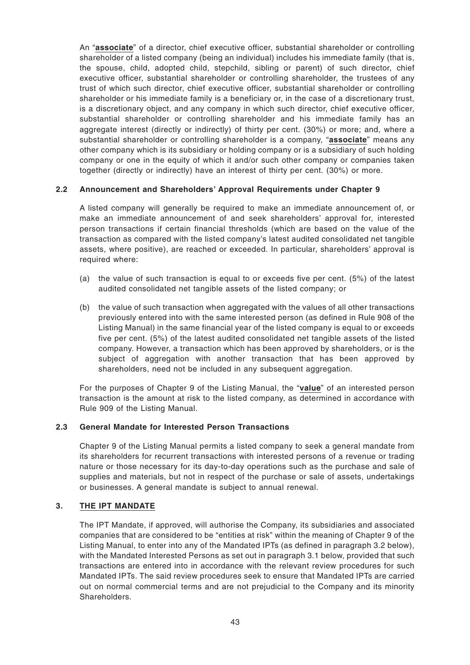An "**associate**" of a director, chief executive officer, substantial shareholder or controlling shareholder of a listed company (being an individual) includes his immediate family (that is, the spouse, child, adopted child, stepchild, sibling or parent) of such director, chief executive officer, substantial shareholder or controlling shareholder, the trustees of any trust of which such director, chief executive officer, substantial shareholder or controlling shareholder or his immediate family is a beneficiary or, in the case of a discretionary trust, is a discretionary object, and any company in which such director, chief executive officer, substantial shareholder or controlling shareholder and his immediate family has an aggregate interest (directly or indirectly) of thirty per cent. (30%) or more; and, where a substantial shareholder or controlling shareholder is a company, "**associate**" means any other company which is its subsidiary or holding company or is a subsidiary of such holding company or one in the equity of which it and/or such other company or companies taken together (directly or indirectly) have an interest of thirty per cent. (30%) or more.

# **2.2 Announcement and Shareholders' Approval Requirements under Chapter 9**

A listed company will generally be required to make an immediate announcement of, or make an immediate announcement of and seek shareholders' approval for, interested person transactions if certain financial thresholds (which are based on the value of the transaction as compared with the listed company's latest audited consolidated net tangible assets, where positive), are reached or exceeded. In particular, shareholders' approval is required where:

- (a) the value of such transaction is equal to or exceeds five per cent. (5%) of the latest audited consolidated net tangible assets of the listed company; or
- (b) the value of such transaction when aggregated with the values of all other transactions previously entered into with the same interested person (as defined in Rule 908 of the Listing Manual) in the same financial year of the listed company is equal to or exceeds five per cent. (5%) of the latest audited consolidated net tangible assets of the listed company. However, a transaction which has been approved by shareholders, or is the subject of aggregation with another transaction that has been approved by shareholders, need not be included in any subsequent aggregation.

For the purposes of Chapter 9 of the Listing Manual, the "**value**" of an interested person transaction is the amount at risk to the listed company, as determined in accordance with Rule 909 of the Listing Manual.

#### **2.3 General Mandate for Interested Person Transactions**

Chapter 9 of the Listing Manual permits a listed company to seek a general mandate from its shareholders for recurrent transactions with interested persons of a revenue or trading nature or those necessary for its day-to-day operations such as the purchase and sale of supplies and materials, but not in respect of the purchase or sale of assets, undertakings or businesses. A general mandate is subject to annual renewal.

#### **3. THE IPT MANDATE**

The IPT Mandate, if approved, will authorise the Company, its subsidiaries and associated companies that are considered to be "entities at risk" within the meaning of Chapter 9 of the Listing Manual, to enter into any of the Mandated IPTs (as defined in paragraph 3.2 below), with the Mandated Interested Persons as set out in paragraph 3.1 below, provided that such transactions are entered into in accordance with the relevant review procedures for such Mandated IPTs. The said review procedures seek to ensure that Mandated IPTs are carried out on normal commercial terms and are not prejudicial to the Company and its minority Shareholders.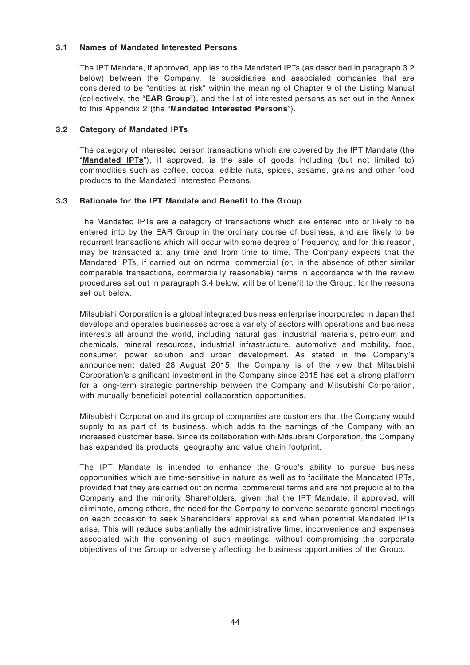#### **3.1 Names of Mandated Interested Persons**

The IPT Mandate, if approved, applies to the Mandated IPTs (as described in paragraph 3.2 below) between the Company, its subsidiaries and associated companies that are considered to be "entities at risk" within the meaning of Chapter 9 of the Listing Manual (collectively, the "**EAR Group**"), and the list of interested persons as set out in the Annex to this Appendix 2 (the "**Mandated Interested Persons**").

#### **3.2 Category of Mandated IPTs**

The category of interested person transactions which are covered by the IPT Mandate (the "**Mandated IPTs**"), if approved, is the sale of goods including (but not limited to) commodities such as coffee, cocoa, edible nuts, spices, sesame, grains and other food products to the Mandated Interested Persons.

#### **3.3 Rationale for the IPT Mandate and Benefit to the Group**

The Mandated IPTs are a category of transactions which are entered into or likely to be entered into by the EAR Group in the ordinary course of business, and are likely to be recurrent transactions which will occur with some degree of frequency, and for this reason, may be transacted at any time and from time to time. The Company expects that the Mandated IPTs, if carried out on normal commercial (or, in the absence of other similar comparable transactions, commercially reasonable) terms in accordance with the review procedures set out in paragraph 3.4 below, will be of benefit to the Group, for the reasons set out below.

Mitsubishi Corporation is a global integrated business enterprise incorporated in Japan that develops and operates businesses across a variety of sectors with operations and business interests all around the world, including natural gas, industrial materials, petroleum and chemicals, mineral resources, industrial infrastructure, automotive and mobility, food, consumer, power solution and urban development. As stated in the Company's announcement dated 28 August 2015, the Company is of the view that Mitsubishi Corporation's significant investment in the Company since 2015 has set a strong platform for a long-term strategic partnership between the Company and Mitsubishi Corporation, with mutually beneficial potential collaboration opportunities.

Mitsubishi Corporation and its group of companies are customers that the Company would supply to as part of its business, which adds to the earnings of the Company with an increased customer base. Since its collaboration with Mitsubishi Corporation, the Company has expanded its products, geography and value chain footprint.

The IPT Mandate is intended to enhance the Group's ability to pursue business opportunities which are time-sensitive in nature as well as to facilitate the Mandated IPTs, provided that they are carried out on normal commercial terms and are not prejudicial to the Company and the minority Shareholders, given that the IPT Mandate, if approved, will eliminate, among others, the need for the Company to convene separate general meetings on each occasion to seek Shareholders' approval as and when potential Mandated IPTs arise. This will reduce substantially the administrative time, inconvenience and expenses associated with the convening of such meetings, without compromising the corporate objectives of the Group or adversely affecting the business opportunities of the Group.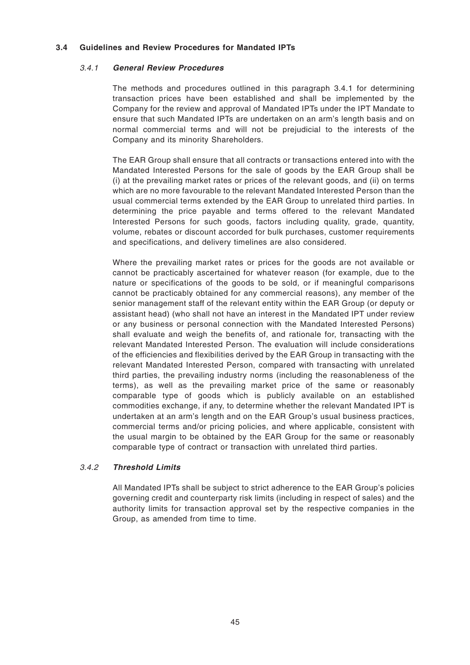#### **3.4 Guidelines and Review Procedures for Mandated IPTs**

#### 3.4.1 **General Review Procedures**

The methods and procedures outlined in this paragraph 3.4.1 for determining transaction prices have been established and shall be implemented by the Company for the review and approval of Mandated IPTs under the IPT Mandate to ensure that such Mandated IPTs are undertaken on an arm's length basis and on normal commercial terms and will not be prejudicial to the interests of the Company and its minority Shareholders.

The EAR Group shall ensure that all contracts or transactions entered into with the Mandated Interested Persons for the sale of goods by the EAR Group shall be (i) at the prevailing market rates or prices of the relevant goods, and (ii) on terms which are no more favourable to the relevant Mandated Interested Person than the usual commercial terms extended by the EAR Group to unrelated third parties. In determining the price payable and terms offered to the relevant Mandated Interested Persons for such goods, factors including quality, grade, quantity, volume, rebates or discount accorded for bulk purchases, customer requirements and specifications, and delivery timelines are also considered.

Where the prevailing market rates or prices for the goods are not available or cannot be practicably ascertained for whatever reason (for example, due to the nature or specifications of the goods to be sold, or if meaningful comparisons cannot be practicably obtained for any commercial reasons), any member of the senior management staff of the relevant entity within the EAR Group (or deputy or assistant head) (who shall not have an interest in the Mandated IPT under review or any business or personal connection with the Mandated Interested Persons) shall evaluate and weigh the benefits of, and rationale for, transacting with the relevant Mandated Interested Person. The evaluation will include considerations of the efficiencies and flexibilities derived by the EAR Group in transacting with the relevant Mandated Interested Person, compared with transacting with unrelated third parties, the prevailing industry norms (including the reasonableness of the terms), as well as the prevailing market price of the same or reasonably comparable type of goods which is publicly available on an established commodities exchange, if any, to determine whether the relevant Mandated IPT is undertaken at an arm's length and on the EAR Group's usual business practices, commercial terms and/or pricing policies, and where applicable, consistent with the usual margin to be obtained by the EAR Group for the same or reasonably comparable type of contract or transaction with unrelated third parties.

# 3.4.2 **Threshold Limits**

All Mandated IPTs shall be subject to strict adherence to the EAR Group's policies governing credit and counterparty risk limits (including in respect of sales) and the authority limits for transaction approval set by the respective companies in the Group, as amended from time to time.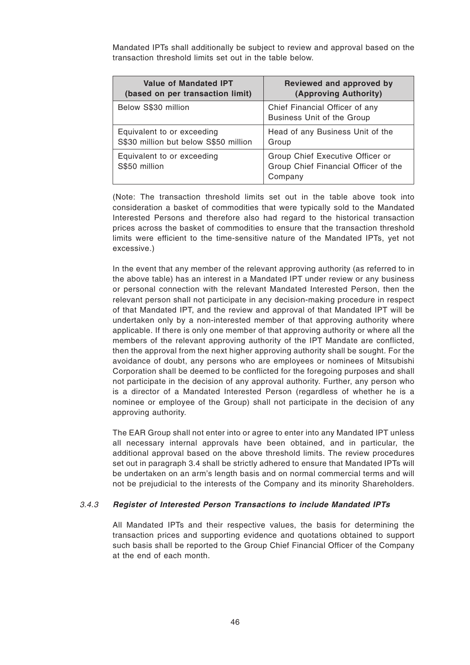Mandated IPTs shall additionally be subject to review and approval based on the transaction threshold limits set out in the table below.

| <b>Value of Mandated IPT</b>                | Reviewed and approved by                                                            |
|---------------------------------------------|-------------------------------------------------------------------------------------|
| (based on per transaction limit)            | (Approving Authority)                                                               |
| Below S\$30 million                         | Chief Financial Officer of any<br>Business Unit of the Group                        |
| Equivalent to or exceeding                  | Head of any Business Unit of the                                                    |
| S\$30 million but below S\$50 million       | Group                                                                               |
| Equivalent to or exceeding<br>S\$50 million | Group Chief Executive Officer or<br>Group Chief Financial Officer of the<br>Company |

(Note: The transaction threshold limits set out in the table above took into consideration a basket of commodities that were typically sold to the Mandated Interested Persons and therefore also had regard to the historical transaction prices across the basket of commodities to ensure that the transaction threshold limits were efficient to the time-sensitive nature of the Mandated IPTs, yet not excessive.)

In the event that any member of the relevant approving authority (as referred to in the above table) has an interest in a Mandated IPT under review or any business or personal connection with the relevant Mandated Interested Person, then the relevant person shall not participate in any decision-making procedure in respect of that Mandated IPT, and the review and approval of that Mandated IPT will be undertaken only by a non-interested member of that approving authority where applicable. If there is only one member of that approving authority or where all the members of the relevant approving authority of the IPT Mandate are conflicted, then the approval from the next higher approving authority shall be sought. For the avoidance of doubt, any persons who are employees or nominees of Mitsubishi Corporation shall be deemed to be conflicted for the foregoing purposes and shall not participate in the decision of any approval authority. Further, any person who is a director of a Mandated Interested Person (regardless of whether he is a nominee or employee of the Group) shall not participate in the decision of any approving authority.

The EAR Group shall not enter into or agree to enter into any Mandated IPT unless all necessary internal approvals have been obtained, and in particular, the additional approval based on the above threshold limits. The review procedures set out in paragraph 3.4 shall be strictly adhered to ensure that Mandated IPTs will be undertaken on an arm's length basis and on normal commercial terms and will not be prejudicial to the interests of the Company and its minority Shareholders.

#### 3.4.3 **Register of Interested Person Transactions to include Mandated IPTs**

All Mandated IPTs and their respective values, the basis for determining the transaction prices and supporting evidence and quotations obtained to support such basis shall be reported to the Group Chief Financial Officer of the Company at the end of each month.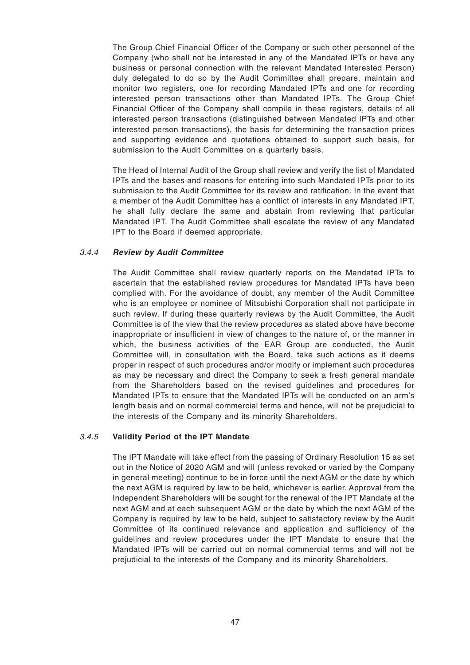The Group Chief Financial Officer of the Company or such other personnel of the Company (who shall not be interested in any of the Mandated IPTs or have any business or personal connection with the relevant Mandated Interested Person) duly delegated to do so by the Audit Committee shall prepare, maintain and monitor two registers, one for recording Mandated IPTs and one for recording interested person transactions other than Mandated IPTs. The Group Chief Financial Officer of the Company shall compile in these registers, details of all interested person transactions (distinguished between Mandated IPTs and other interested person transactions), the basis for determining the transaction prices and supporting evidence and quotations obtained to support such basis, for submission to the Audit Committee on a quarterly basis.

The Head of Internal Audit of the Group shall review and verify the list of Mandated IPTs and the bases and reasons for entering into such Mandated IPTs prior to its submission to the Audit Committee for its review and ratification. In the event that a member of the Audit Committee has a conflict of interests in any Mandated IPT, he shall fully declare the same and abstain from reviewing that particular Mandated IPT. The Audit Committee shall escalate the review of any Mandated IPT to the Board if deemed appropriate.

#### 3.4.4 **Review by Audit Committee**

The Audit Committee shall review quarterly reports on the Mandated IPTs to ascertain that the established review procedures for Mandated IPTs have been complied with. For the avoidance of doubt, any member of the Audit Committee who is an employee or nominee of Mitsubishi Corporation shall not participate in such review. If during these quarterly reviews by the Audit Committee, the Audit Committee is of the view that the review procedures as stated above have become inappropriate or insufficient in view of changes to the nature of, or the manner in which, the business activities of the EAR Group are conducted, the Audit Committee will, in consultation with the Board, take such actions as it deems proper in respect of such procedures and/or modify or implement such procedures as may be necessary and direct the Company to seek a fresh general mandate from the Shareholders based on the revised guidelines and procedures for Mandated IPTs to ensure that the Mandated IPTs will be conducted on an arm's length basis and on normal commercial terms and hence, will not be prejudicial to the interests of the Company and its minority Shareholders.

#### 3.4.5 **Validity Period of the IPT Mandate**

The IPT Mandate will take effect from the passing of Ordinary Resolution 15 as set out in the Notice of 2020 AGM and will (unless revoked or varied by the Company in general meeting) continue to be in force until the next AGM or the date by which the next AGM is required by law to be held, whichever is earlier. Approval from the Independent Shareholders will be sought for the renewal of the IPT Mandate at the next AGM and at each subsequent AGM or the date by which the next AGM of the Company is required by law to be held, subject to satisfactory review by the Audit Committee of its continued relevance and application and sufficiency of the guidelines and review procedures under the IPT Mandate to ensure that the Mandated IPTs will be carried out on normal commercial terms and will not be prejudicial to the interests of the Company and its minority Shareholders.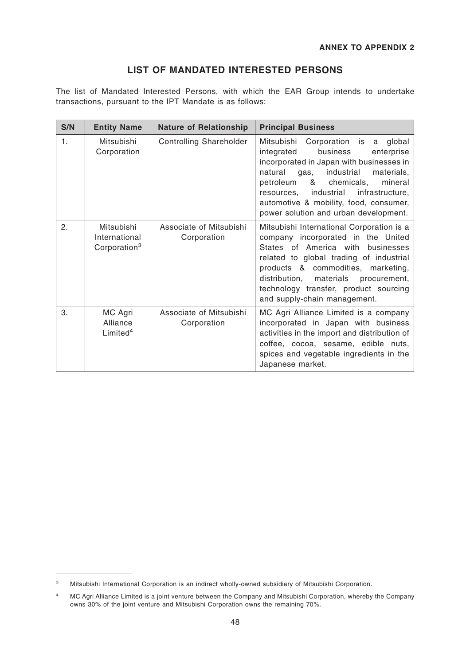# **LIST OF MANDATED INTERESTED PERSONS**

The list of Mandated Interested Persons, with which the EAR Group intends to undertake transactions, pursuant to the IPT Mandate is as follows:

| S/N | <b>Entity Name</b>                                      | <b>Nature of Relationship</b>          | <b>Principal Business</b>                                                                                                                                                                                                                                                                                                                                |
|-----|---------------------------------------------------------|----------------------------------------|----------------------------------------------------------------------------------------------------------------------------------------------------------------------------------------------------------------------------------------------------------------------------------------------------------------------------------------------------------|
| 1.  | Mitsubishi<br>Corporation                               | <b>Controlling Shareholder</b>         | Mitsubishi<br>Corporation is<br>global<br>a<br>business<br>integrated<br>enterprise<br>incorporated in Japan with businesses in<br>natural<br>industrial<br>gas,<br>materials,<br>petroleum<br>&<br>chemicals,<br>mineral<br>resources, industrial<br>infrastructure,<br>automotive & mobility, food, consumer,<br>power solution and urban development. |
| 2.  | Mitsubishi<br>International<br>Corporation <sup>3</sup> | Associate of Mitsubishi<br>Corporation | Mitsubishi International Corporation is a<br>company incorporated in the United<br>States of America with businesses<br>related to global trading of industrial<br>products & commodities, marketing,<br>distribution,<br>materials<br>procurement,<br>technology transfer, product sourcing<br>and supply-chain management.                             |
| 3.  | MC Agri<br>Alliance<br>Limited <sup>4</sup>             | Associate of Mitsubishi<br>Corporation | MC Agri Alliance Limited is a company<br>incorporated in Japan with business<br>activities in the import and distribution of<br>coffee, cocoa, sesame, edible nuts,<br>spices and vegetable ingredients in the<br>Japanese market.                                                                                                                       |

<sup>3</sup> Mitsubishi International Corporation is an indirect wholly-owned subsidiary of Mitsubishi Corporation.

<sup>&</sup>lt;sup>4</sup> MC Agri Alliance Limited is a joint venture between the Company and Mitsubishi Corporation, whereby the Company owns 30% of the joint venture and Mitsubishi Corporation owns the remaining 70%.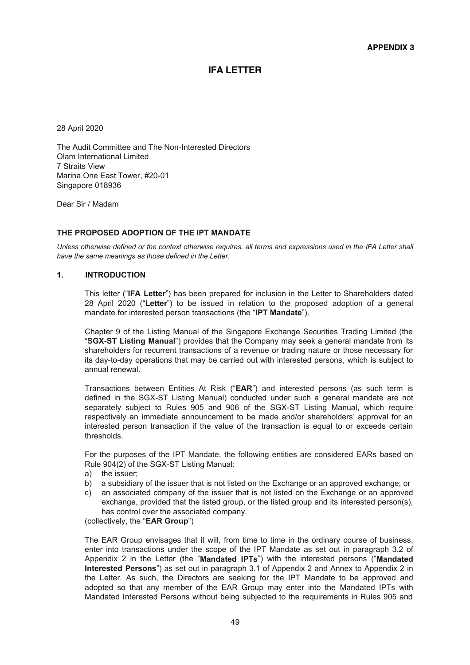# **IFA LETTER**

28 April 2020

The Audit Committee and The Non-Interested Directors Olam International Limited 7 Straits View Marina One East Tower, #20-01 Singapore 018936

Dear Sir / Madam

#### **THE PROPOSED ADOPTION OF THE IPT MANDATE**

*Unless otherwise defined or the context otherwise requires, all terms and expressions used in the IFA Letter shall have the same meanings as those defined in the Letter.* 

#### **1. INTRODUCTION**

This letter ("IFA Letter") has been prepared for inclusion in the Letter to Shareholders dated 28 April 2020 ("Letter") to be issued in relation to the proposed adoption of a general mandate for interested person transactions (the "IPT Mandate").

Chapter 9 of the Listing Manual of the Singapore Exchange Securities Trading Limited (the "SGX-ST Listing Manual") provides that the Company may seek a general mandate from its shareholders for recurrent transactions of a revenue or trading nature or those necessary for its day-to-day operations that may be carried out with interested persons, which is subject to annual renewal.

Transactions between Entities At Risk ("EAR") and interested persons (as such term is defined in the SGX-ST Listing Manual) conducted under such a general mandate are not separately subject to Rules 905 and 906 of the SGX-ST Listing Manual, which require respectively an immediate announcement to be made and/or shareholders' approval for an interested person transaction if the value of the transaction is equal to or exceeds certain thresholds.

For the purposes of the IPT Mandate, the following entities are considered EARs based on Rule 904(2) of the SGX-ST Listing Manual:

- a) the issuer;
- b) a subsidiary of the issuer that is not listed on the Exchange or an approved exchange; or
- c) an associated company of the issuer that is not listed on the Exchange or an approved exchange, provided that the listed group, or the listed group and its interested person(s), has control over the associated company.

(collectively, the "**EAR Group**")

The EAR Group envisages that it will, from time to time in the ordinary course of business, enter into transactions under the scope of the IPT Mandate as set out in paragraph 3.2 of Appendix 2 in the Letter (the "Mandated IPTs") with the interested persons ("Mandated **Interested Persons**") as set out in paragraph 3.1 of Appendix 2 and Annex to Appendix 2 in the Letter. As such, the Directors are seeking for the IPT Mandate to be approved and adopted so that any member of the EAR Group may enter into the Mandated IPTs with Mandated Interested Persons without being subjected to the requirements in Rules 905 and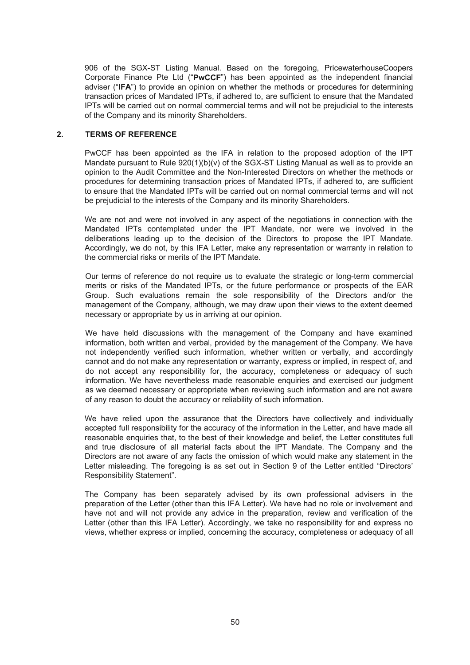906 of the SGX-ST Listing Manual. Based on the foregoing, PricewaterhouseCoopers Corporate Finance Pte Ltd ("PwCCF") has been appointed as the independent financial adviser ("IFA") to provide an opinion on whether the methods or procedures for determining transaction prices of Mandated IPTs, if adhered to, are sufficient to ensure that the Mandated IPTs will be carried out on normal commercial terms and will not be prejudicial to the interests of the Company and its minority Shareholders.

#### **2. TERMS OF REFERENCE**

PwCCF has been appointed as the IFA in relation to the proposed adoption of the IPT Mandate pursuant to Rule 920(1)(b)(v) of the SGX-ST Listing Manual as well as to provide an opinion to the Audit Committee and the Non-Interested Directors on whether the methods or procedures for determining transaction prices of Mandated IPTs, if adhered to, are sufficient to ensure that the Mandated IPTs will be carried out on normal commercial terms and will not be prejudicial to the interests of the Company and its minority Shareholders.

We are not and were not involved in any aspect of the negotiations in connection with the Mandated IPTs contemplated under the IPT Mandate, nor were we involved in the deliberations leading up to the decision of the Directors to propose the IPT Mandate. Accordingly, we do not, by this IFA Letter, make any representation or warranty in relation to the commercial risks or merits of the IPT Mandate.

Our terms of reference do not require us to evaluate the strategic or long-term commercial merits or risks of the Mandated IPTs, or the future performance or prospects of the EAR Group. Such evaluations remain the sole responsibility of the Directors and/or the management of the Company, although, we may draw upon their views to the extent deemed necessary or appropriate by us in arriving at our opinion.

We have held discussions with the management of the Company and have examined information, both written and verbal, provided by the management of the Company. We have not independently verified such information, whether written or verbally, and accordingly cannot and do not make any representation or warranty, express or implied, in respect of, and do not accept any responsibility for, the accuracy, completeness or adequacy of such information. We have nevertheless made reasonable enquiries and exercised our judgment as we deemed necessary or appropriate when reviewing such information and are not aware of any reason to doubt the accuracy or reliability of such information.

We have relied upon the assurance that the Directors have collectively and individually accepted full responsibility for the accuracy of the information in the Letter, and have made all reasonable enquiries that, to the best of their knowledge and belief, the Letter constitutes full and true disclosure of all material facts about the IPT Mandate. The Company and the Directors are not aware of any facts the omission of which would make any statement in the Letter misleading. The foregoing is as set out in Section 9 of the Letter entitled "Directors' Responsibility Statement".

The Company has been separately advised by its own professional advisers in the preparation of the Letter (other than this IFA Letter). We have had no role or involvement and have not and will not provide any advice in the preparation, review and verification of the Letter (other than this IFA Letter). Accordingly, we take no responsibility for and express no views, whether express or implied, concerning the accuracy, completeness or adequacy of all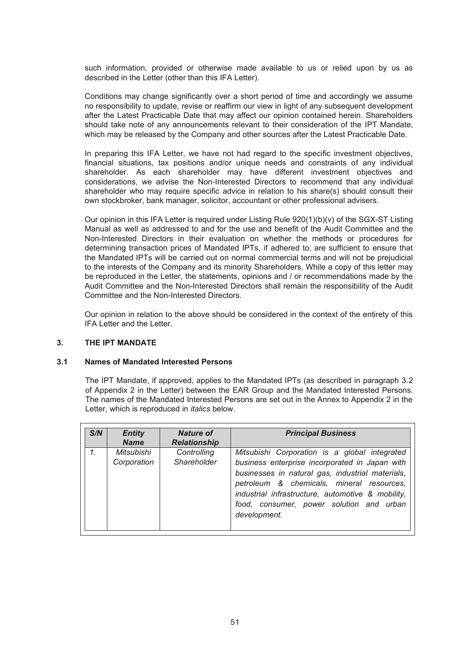such information, provided or otherwise made available to us or relied upon by us as described in the Letter (other than this IFA Letter).

Conditions may change significantly over a short period of time and accordingly we assume no responsibility to update, revise or reaffirm our view in light of any subsequent development after the Latest Practicable Date that may affect our opinion contained herein. Shareholders should take note of any announcements relevant to their consideration of the IPT Mandate, which may be released by the Company and other sources after the Latest Practicable Date.

In preparing this IFA Letter, we have not had regard to the specific investment objectives, financial situations, tax positions and/or unique needs and constraints of any individual shareholder. As each shareholder may have different investment objectives and considerations, we advise the Non-Interested Directors to recommend that any individual shareholder who may require specific advice in relation to his share(s) should consult their own stockbroker, bank manager, solicitor, accountant or other professional advisers.

Our opinion in this IFA Letter is required under Listing Rule 920(1)(b)(v) of the SGX-ST Listing Manual as well as addressed to and for the use and benefit of the Audit Committee and the Non-Interested Directors in their evaluation on whether the methods or procedures for determining transaction prices of Mandated IPTs, if adhered to, are sufficient to ensure that the Mandated IPTs will be carried out on normal commercial terms and will not be prejudicial to the interests of the Company and its minority Shareholders. While a copy of this letter may be reproduced in the Letter, the statements, opinions and / or recommendations made by the Audit Committee and the Non-Interested Directors shall remain the responsibility of the Audit Committee and the Non-Interested Directors.

Our opinion in relation to the above should be considered in the context of the entirety of this IFA Letter and the Letter.

#### **3. THE IPT MANDATE**

#### **3.1 Names of Mandated Interested Persons**

The IPT Mandate, if approved, applies to the Mandated IPTs (as described in paragraph 3.2 of Appendix 2 in the Letter) between the EAR Group and the Mandated Interested Persons. The names of the Mandated Interested Persons are set out in the Annex to Appendix 2 in the Letter, which is reproduced in *italics* below.

| S/N | <b>Entity</b><br><b>Name</b> | <b>Nature of</b><br><b>Relationship</b> | <b>Principal Business</b>                                                                                                                                                                                                                                                                                         |
|-----|------------------------------|-----------------------------------------|-------------------------------------------------------------------------------------------------------------------------------------------------------------------------------------------------------------------------------------------------------------------------------------------------------------------|
| 1.  | Mitsubishi<br>Corporation    | Controlling<br><b>Shareholder</b>       | Mitsubishi Corporation is a global integrated<br>business enterprise incorporated in Japan with<br>businesses in natural gas, industrial materials,<br>petroleum & chemicals, mineral resources,<br>industrial infrastructure, automotive & mobility,<br>food, consumer, power solution and urban<br>development. |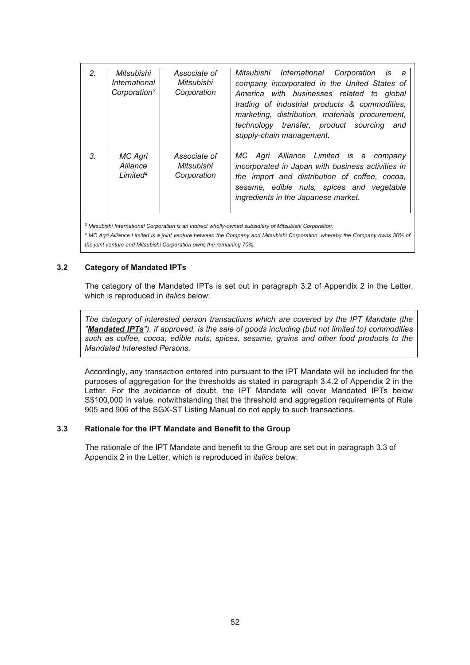| 2 <sub>1</sub> | Mitsubishi<br>International<br>Corporation <sup>3</sup> | Associate of<br>Mitsubishi<br>Corporation | Mitsubishi International Corporation is a<br>company incorporated in the United States of<br>America with businesses related to global<br>trading of industrial products & commodities,<br>marketing, distribution, materials procurement,<br>technology transfer, product sourcing<br>and<br>supply-chain management. |
|----------------|---------------------------------------------------------|-------------------------------------------|------------------------------------------------------------------------------------------------------------------------------------------------------------------------------------------------------------------------------------------------------------------------------------------------------------------------|
| 3 <sub>l</sub> | MC Agri<br>Alliance<br>Limited <sup>4</sup>             | Associate of<br>Mitsubishi<br>Corporation | MC Agri Alliance Limited is a company<br>incorporated in Japan with business activities in<br>the import and distribution of coffee, cocoa,<br>sesame, edible nuts, spices and vegetable<br>ingredients in the Japanese market.                                                                                        |

*3 Mitsubishi International Corporation is an indirect wholly-owned subsidiary of Mitsubishi Corporation.* 

*<sup>4</sup> MC Agri Alliance Limited is a joint venture between the Company and Mitsubishi Corporation, whereby the Company owns 30% of the joint venture and Mitsubishi Corporation owns the remaining 70%.*

#### **3.2 Category of Mandated IPTs**

 The category of the Mandated IPTs is set out in paragraph 3.2 of Appendix 2 in the Letter, which is reproduced in *italics* below:

*The category of interested person transactions which are covered by the IPT Mandate (the "Mandated IPTs"), if approved, is the sale of goods including (but not limited to) commodities such as coffee, cocoa, edible nuts, spices, sesame, grains and other food products to the Mandated Interested Persons.* 

Accordingly, any transaction entered into pursuant to the IPT Mandate will be included for the purposes of aggregation for the thresholds as stated in paragraph 3.4.2 of Appendix 2 in the Letter. For the avoidance of doubt, the IPT Mandate will cover Mandated IPTs below S\$100,000 in value, notwithstanding that the threshold and aggregation requirements of Rule 905 and 906 of the SGX-ST Listing Manual do not apply to such transactions.

#### **3.3 Rationale for the IPT Mandate and Benefit to the Group**

The rationale of the IPT Mandate and benefit to the Group are set out in paragraph 3.3 of Appendix 2 in the Letter, which is reproduced in *italics* below: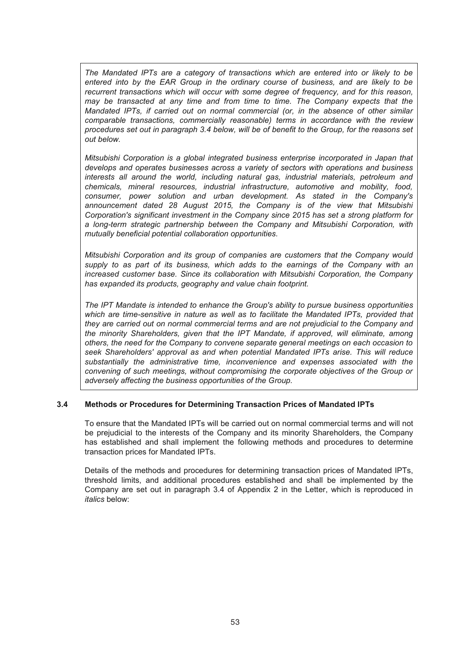*The Mandated IPTs are a category of transactions which are entered into or likely to be entered into by the EAR Group in the ordinary course of business, and are likely to be recurrent transactions which will occur with some degree of frequency, and for this reason, may be transacted at any time and from time to time. The Company expects that the Mandated IPTs, if carried out on normal commercial (or, in the absence of other similar comparable transactions, commercially reasonable) terms in accordance with the review procedures set out in paragraph 3.4 below, will be of benefit to the Group, for the reasons set out below.* 

*Mitsubishi Corporation is a global integrated business enterprise incorporated in Japan that develops and operates businesses across a variety of sectors with operations and business interests all around the world, including natural gas, industrial materials, petroleum and chemicals, mineral resources, industrial infrastructure, automotive and mobility, food, consumer, power solution and urban development. As stated in the Company's announcement dated 28 August 2015, the Company is of the view that Mitsubishi Corporation's significant investment in the Company since 2015 has set a strong platform for a long-term strategic partnership between the Company and Mitsubishi Corporation, with mutually beneficial potential collaboration opportunities.* 

*Mitsubishi Corporation and its group of companies are customers that the Company would supply to as part of its business, which adds to the earnings of the Company with an increased customer base. Since its collaboration with Mitsubishi Corporation, the Company has expanded its products, geography and value chain footprint.*

*The IPT Mandate is intended to enhance the Group's ability to pursue business opportunities which are time-sensitive in nature as well as to facilitate the Mandated IPTs, provided that they are carried out on normal commercial terms and are not prejudicial to the Company and the minority Shareholders, given that the IPT Mandate, if approved, will eliminate, among others, the need for the Company to convene separate general meetings on each occasion to seek Shareholders' approval as and when potential Mandated IPTs arise. This will reduce substantially the administrative time, inconvenience and expenses associated with the convening of such meetings, without compromising the corporate objectives of the Group or adversely affecting the business opportunities of the Group.* 

#### **3.4 Methods or Procedures for Determining Transaction Prices of Mandated IPTs**

To ensure that the Mandated IPTs will be carried out on normal commercial terms and will not be prejudicial to the interests of the Company and its minority Shareholders, the Company has established and shall implement the following methods and procedures to determine transaction prices for Mandated IPTs.

Details of the methods and procedures for determining transaction prices of Mandated IPTs, threshold limits, and additional procedures established and shall be implemented by the Company are set out in paragraph 3.4 of Appendix 2 in the Letter, which is reproduced in *italics* below: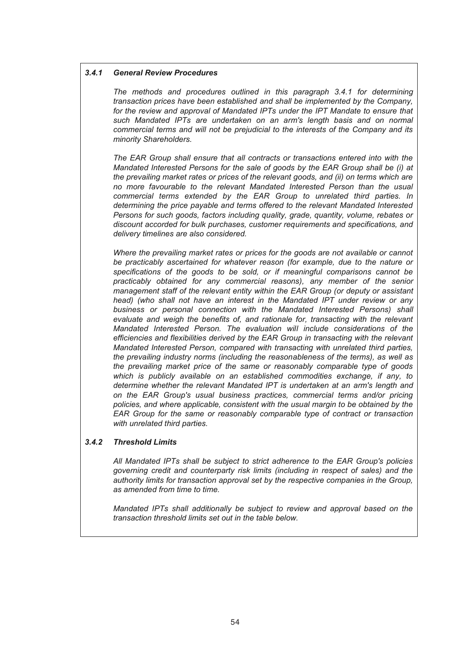#### *3.4.1 General Review Procedures*

*The methods and procedures outlined in this paragraph 3.4.1 for determining transaction prices have been established and shall be implemented by the Company, for the review and approval of Mandated IPTs under the IPT Mandate to ensure that such Mandated IPTs are undertaken on an arm's length basis and on normal commercial terms and will not be prejudicial to the interests of the Company and its minority Shareholders.* 

*The EAR Group shall ensure that all contracts or transactions entered into with the Mandated Interested Persons for the sale of goods by the EAR Group shall be (i) at the prevailing market rates or prices of the relevant goods, and (ii) on terms which are no more favourable to the relevant Mandated Interested Person than the usual commercial terms extended by the EAR Group to unrelated third parties. In determining the price payable and terms offered to the relevant Mandated Interested Persons for such goods, factors including quality, grade, quantity, volume, rebates or discount accorded for bulk purchases, customer requirements and specifications, and delivery timelines are also considered.* 

*Where the prevailing market rates or prices for the goods are not available or cannot be practicably ascertained for whatever reason (for example, due to the nature or specifications of the goods to be sold, or if meaningful comparisons cannot be practicably obtained for any commercial reasons), any member of the senior management staff of the relevant entity within the EAR Group (or deputy or assistant head) (who shall not have an interest in the Mandated IPT under review or any business or personal connection with the Mandated Interested Persons) shall evaluate and weigh the benefits of, and rationale for, transacting with the relevant Mandated Interested Person. The evaluation will include considerations of the efficiencies and flexibilities derived by the EAR Group in transacting with the relevant Mandated Interested Person, compared with transacting with unrelated third parties, the prevailing industry norms (including the reasonableness of the terms), as well as the prevailing market price of the same or reasonably comparable type of goods which is publicly available on an established commodities exchange, if any, to determine whether the relevant Mandated IPT is undertaken at an arm's length and on the EAR Group's usual business practices, commercial terms and/or pricing policies, and where applicable, consistent with the usual margin to be obtained by the EAR Group for the same or reasonably comparable type of contract or transaction with unrelated third parties.* 

#### *3.4.2 Threshold Limits*

*All Mandated IPTs shall be subject to strict adherence to the EAR Group's policies governing credit and counterparty risk limits (including in respect of sales) and the authority limits for transaction approval set by the respective companies in the Group, as amended from time to time.* 

*Mandated IPTs shall additionally be subject to review and approval based on the transaction threshold limits set out in the table below.*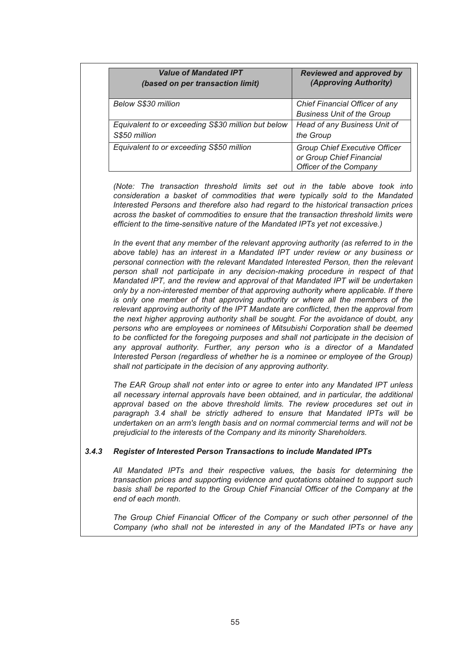| <b>Value of Mandated IPT</b>                       | <b>Reviewed and approved by</b>                                                            |
|----------------------------------------------------|--------------------------------------------------------------------------------------------|
| (based on per transaction limit)                   | (Approving Authority)                                                                      |
| <b>Below S\$30 million</b>                         | Chief Financial Officer of any<br><b>Business Unit of the Group</b>                        |
| Equivalent to or exceeding S\$30 million but below | Head of any Business Unit of                                                               |
| S\$50 million                                      | the Group                                                                                  |
| Equivalent to or exceeding S\$50 million           | <b>Group Chief Executive Officer</b><br>or Group Chief Financial<br>Officer of the Company |

*(Note: The transaction threshold limits set out in the table above took into consideration a basket of commodities that were typically sold to the Mandated Interested Persons and therefore also had regard to the historical transaction prices across the basket of commodities to ensure that the transaction threshold limits were efficient to the time-sensitive nature of the Mandated IPTs yet not excessive.)* 

*In the event that any member of the relevant approving authority (as referred to in the above table) has an interest in a Mandated IPT under review or any business or personal connection with the relevant Mandated Interested Person, then the relevant person shall not participate in any decision-making procedure in respect of that Mandated IPT, and the review and approval of that Mandated IPT will be undertaken only by a non-interested member of that approving authority where applicable. If there is only one member of that approving authority or where all the members of the relevant approving authority of the IPT Mandate are conflicted, then the approval from the next higher approving authority shall be sought. For the avoidance of doubt, any persons who are employees or nominees of Mitsubishi Corporation shall be deemed to be conflicted for the foregoing purposes and shall not participate in the decision of any approval authority. Further, any person who is a director of a Mandated Interested Person (regardless of whether he is a nominee or employee of the Group) shall not participate in the decision of any approving authority.* 

*The EAR Group shall not enter into or agree to enter into any Mandated IPT unless all necessary internal approvals have been obtained, and in particular, the additional approval based on the above threshold limits. The review procedures set out in paragraph 3.4 shall be strictly adhered to ensure that Mandated IPTs will be undertaken on an arm's length basis and on normal commercial terms and will not be prejudicial to the interests of the Company and its minority Shareholders.* 

#### *3.4.3 Register of Interested Person Transactions to include Mandated IPTs*

*All Mandated IPTs and their respective values, the basis for determining the transaction prices and supporting evidence and quotations obtained to support such basis shall be reported to the Group Chief Financial Officer of the Company at the end of each month.* 

*The Group Chief Financial Officer of the Company or such other personnel of the Company (who shall not be interested in any of the Mandated IPTs or have any*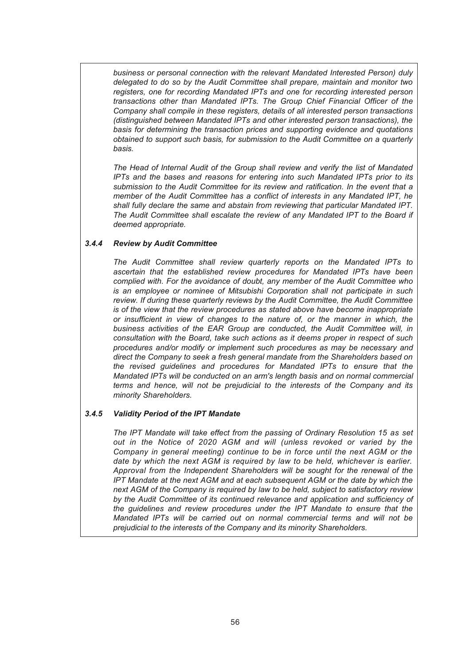*business or personal connection with the relevant Mandated Interested Person) duly delegated to do so by the Audit Committee shall prepare, maintain and monitor two registers, one for recording Mandated IPTs and one for recording interested person transactions other than Mandated IPTs. The Group Chief Financial Officer of the Company shall compile in these registers, details of all interested person transactions (distinguished between Mandated IPTs and other interested person transactions), the basis for determining the transaction prices and supporting evidence and quotations obtained to support such basis, for submission to the Audit Committee on a quarterly basis.* 

*The Head of Internal Audit of the Group shall review and verify the list of Mandated IPTs and the bases and reasons for entering into such Mandated IPTs prior to its submission to the Audit Committee for its review and ratification. In the event that a member of the Audit Committee has a conflict of interests in any Mandated IPT, he shall fully declare the same and abstain from reviewing that particular Mandated IPT. The Audit Committee shall escalate the review of any Mandated IPT to the Board if deemed appropriate.* 

#### *3.4.4 Review by Audit Committee*

*The Audit Committee shall review quarterly reports on the Mandated IPTs to ascertain that the established review procedures for Mandated IPTs have been complied with. For the avoidance of doubt, any member of the Audit Committee who is an employee or nominee of Mitsubishi Corporation shall not participate in such review. If during these quarterly reviews by the Audit Committee, the Audit Committee is of the view that the review procedures as stated above have become inappropriate or insufficient in view of changes to the nature of, or the manner in which, the business activities of the EAR Group are conducted, the Audit Committee will, in consultation with the Board, take such actions as it deems proper in respect of such procedures and/or modify or implement such procedures as may be necessary and direct the Company to seek a fresh general mandate from the Shareholders based on the revised guidelines and procedures for Mandated IPTs to ensure that the Mandated IPTs will be conducted on an arm's length basis and on normal commercial terms and hence, will not be prejudicial to the interests of the Company and its minority Shareholders.* 

#### *3.4.5 Validity Period of the IPT Mandate*

*The IPT Mandate will take effect from the passing of Ordinary Resolution 15 as set out in the Notice of 2020 AGM and will (unless revoked or varied by the Company in general meeting) continue to be in force until the next AGM or the date by which the next AGM is required by law to be held, whichever is earlier. Approval from the Independent Shareholders will be sought for the renewal of the IPT Mandate at the next AGM and at each subsequent AGM or the date by which the next AGM of the Company is required by law to be held, subject to satisfactory review by the Audit Committee of its continued relevance and application and sufficiency of the guidelines and review procedures under the IPT Mandate to ensure that the Mandated IPTs will be carried out on normal commercial terms and will not be prejudicial to the interests of the Company and its minority Shareholders.*